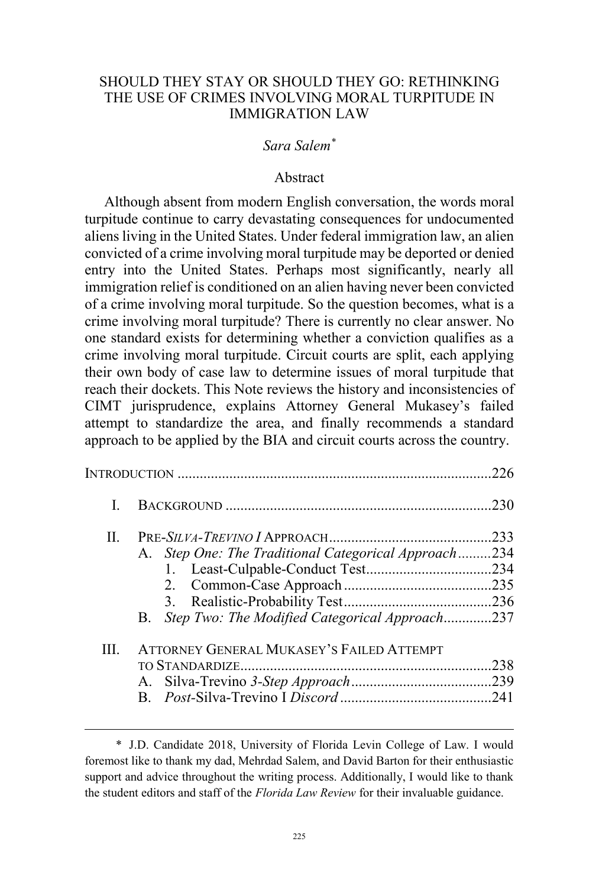## SHOULD THEY STAY OR SHOULD THEY GO: RETHINKING THE USE OF CRIMES INVOLVING MORAL TURPITUDE IN IMMIGRATION LAW

## *Sara Salem\**

## Abstract

Although absent from modern English conversation, the words moral turpitude continue to carry devastating consequences for undocumented aliens living in the United States. Under federal immigration law, an alien convicted of a crime involving moral turpitude may be deported or denied entry into the United States. Perhaps most significantly, nearly all immigration relief is conditioned on an alien having never been convicted of a crime involving moral turpitude. So the question becomes, what is a crime involving moral turpitude? There is currently no clear answer. No one standard exists for determining whether a conviction qualifies as a crime involving moral turpitude. Circuit courts are split, each applying their own body of case law to determine issues of moral turpitude that reach their dockets. This Note reviews the history and inconsistencies of CIMT jurisprudence, explains Attorney General Mukasey's failed attempt to standardize the area, and finally recommends a standard approach to be applied by the BIA and circuit courts across the country.

|       |                                                      | 226  |
|-------|------------------------------------------------------|------|
|       |                                                      | .230 |
| $\Pi$ |                                                      | .233 |
|       | A. Step One: The Traditional Categorical Approach234 |      |
|       |                                                      |      |
|       |                                                      |      |
|       |                                                      |      |
|       | Step Two: The Modified Categorical Approach237<br>B. |      |
| Ш     | <b>ATTORNEY GENERAL MUKASEY'S FAILED ATTEMPT</b>     |      |
|       |                                                      | .238 |
|       |                                                      |      |
|       |                                                      |      |

 $\overline{a}$ 

<sup>\*</sup> J.D. Candidate 2018, University of Florida Levin College of Law. I would foremost like to thank my dad, Mehrdad Salem, and David Barton for their enthusiastic support and advice throughout the writing process. Additionally, I would like to thank the student editors and staff of the *Florida Law Review* for their invaluable guidance.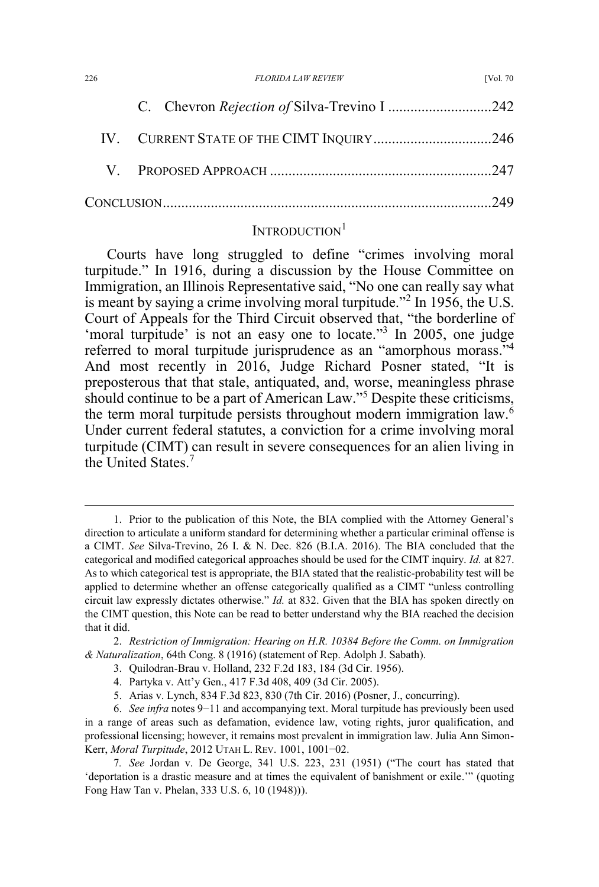| 226 | <b>FLORIDA LAW REVIEW</b>                                                       | <b>IVol. 70</b> |
|-----|---------------------------------------------------------------------------------|-----------------|
|     | the contract of the contract of the contract of the contract of the contract of |                 |

# INTRODUCTION<sup>1</sup>

Courts have long struggled to define "crimes involving moral turpitude." In 1916, during a discussion by the House Committee on Immigration, an Illinois Representative said, "No one can really say what is meant by saying a crime involving moral turpitude."<sup>2</sup> In 1956, the U.S. Court of Appeals for the Third Circuit observed that, "the borderline of 'moral turpitude' is not an easy one to locate."<sup>3</sup> In 2005, one judge referred to moral turpitude jurisprudence as an "amorphous morass."<sup>4</sup> And most recently in 2016, Judge Richard Posner stated, "It is preposterous that that stale, antiquated, and, worse, meaningless phrase should continue to be a part of American Law."<sup>5</sup> Despite these criticisms, the term moral turpitude persists throughout modern immigration law.<sup>6</sup> Under current federal statutes, a conviction for a crime involving moral turpitude (CIMT) can result in severe consequences for an alien living in the United States.7

 <sup>1.</sup> Prior to the publication of this Note, the BIA complied with the Attorney General's direction to articulate a uniform standard for determining whether a particular criminal offense is a CIMT. *See* Silva-Trevino, 26 I. & N. Dec. 826 (B.I.A. 2016). The BIA concluded that the categorical and modified categorical approaches should be used for the CIMT inquiry. *Id.* at 827. As to which categorical test is appropriate, the BIA stated that the realistic-probability test will be applied to determine whether an offense categorically qualified as a CIMT "unless controlling circuit law expressly dictates otherwise." *Id.* at 832. Given that the BIA has spoken directly on the CIMT question, this Note can be read to better understand why the BIA reached the decision that it did.

<sup>2.</sup> *Restriction of Immigration: Hearing on H.R. 10384 Before the Comm. on Immigration & Naturalization*, 64th Cong. 8 (1916) (statement of Rep. Adolph J. Sabath).

<sup>3.</sup> Quilodran-Brau v. Holland, 232 F.2d 183, 184 (3d Cir. 1956).

<sup>4.</sup> Partyka v. Att'y Gen., 417 F.3d 408, 409 (3d Cir. 2005).

<sup>5.</sup> Arias v. Lynch, 834 F.3d 823, 830 (7th Cir. 2016) (Posner, J., concurring).

<sup>6.</sup> *See infra* notes 9−11 and accompanying text. Moral turpitude has previously been used in a range of areas such as defamation, evidence law, voting rights, juror qualification, and professional licensing; however, it remains most prevalent in immigration law. Julia Ann Simon-Kerr, *Moral Turpitude*, 2012 UTAH L. REV. 1001, 1001−02.

<sup>7</sup>*. See* Jordan v. De George, 341 U.S. 223, 231 (1951) ("The court has stated that 'deportation is a drastic measure and at times the equivalent of banishment or exile.'" (quoting Fong Haw Tan v. Phelan, 333 U.S. 6, 10 (1948))).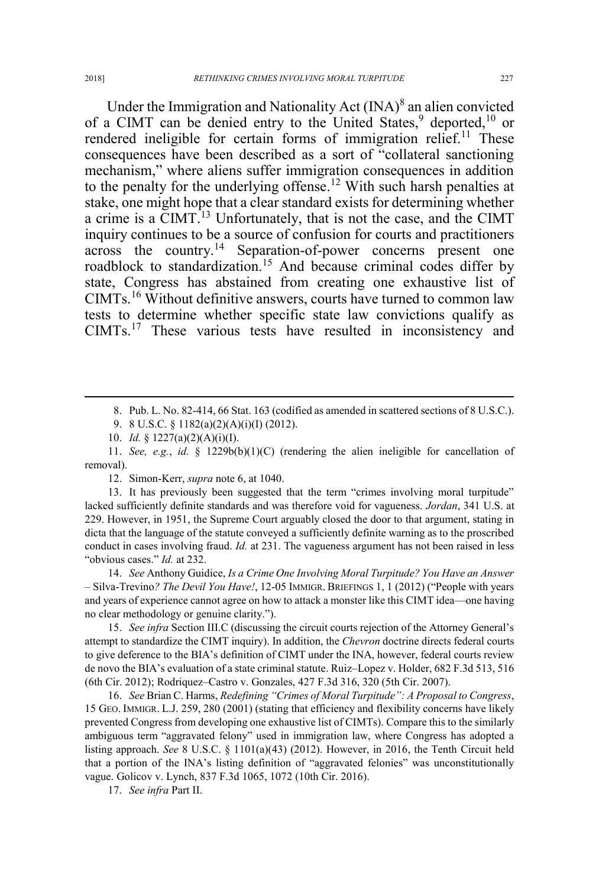Under the Immigration and Nationality Act  $(INA)^8$  an alien convicted of a CIMT can be denied entry to the United States,<sup>9</sup> deported,<sup>10</sup> or rendered ineligible for certain forms of immigration relief.<sup>11</sup> These consequences have been described as a sort of "collateral sanctioning mechanism," where aliens suffer immigration consequences in addition to the penalty for the underlying offense.<sup>12</sup> With such harsh penalties at stake, one might hope that a clear standard exists for determining whether a crime is a CIMT.<sup>13</sup> Unfortunately, that is not the case, and the CIMT inquiry continues to be a source of confusion for courts and practitioners across the country.<sup>14</sup> Separation-of-power concerns present one roadblock to standardization.<sup>15</sup> And because criminal codes differ by state, Congress has abstained from creating one exhaustive list of CIMTs.<sup>16</sup> Without definitive answers, courts have turned to common law tests to determine whether specific state law convictions qualify as CIMTs.<sup>17</sup> These various tests have resulted in inconsistency and

12. Simon-Kerr, *supra* note 6, at 1040.

13. It has previously been suggested that the term "crimes involving moral turpitude" lacked sufficiently definite standards and was therefore void for vagueness. *Jordan*, 341 U.S. at 229. However, in 1951, the Supreme Court arguably closed the door to that argument, stating in dicta that the language of the statute conveyed a sufficiently definite warning as to the proscribed conduct in cases involving fraud. *Id.* at 231. The vagueness argument has not been raised in less "obvious cases." *Id.* at 232.

14. *See* Anthony Guidice, *Is a Crime One Involving Moral Turpitude? You Have an Answer –* Silva-Trevino*? The Devil You Have!*, 12-05 IMMIGR. BRIEFINGS 1, 1 (2012) ("People with years and years of experience cannot agree on how to attack a monster like this CIMT idea—one having no clear methodology or genuine clarity.").

15. *See infra* Section III.C (discussing the circuit courts rejection of the Attorney General's attempt to standardize the CIMT inquiry). In addition, the *Chevron* doctrine directs federal courts to give deference to the BIA's definition of CIMT under the INA, however, federal courts review de novo the BIA's evaluation of a state criminal statute. Ruiz–Lopez v. Holder, 682 F.3d 513, 516 (6th Cir. 2012); Rodriquez–Castro v. Gonzales, 427 F.3d 316, 320 (5th Cir. 2007).

16. *See* Brian C. Harms, *Redefining "Crimes of Moral Turpitude": A Proposal to Congress*, 15 GEO. IMMIGR. L.J. 259, 280 (2001) (stating that efficiency and flexibility concerns have likely prevented Congress from developing one exhaustive list of CIMTs). Compare this to the similarly ambiguous term "aggravated felony" used in immigration law, where Congress has adopted a listing approach. *See* 8 U.S.C. § 1101(a)(43) (2012). However, in 2016, the Tenth Circuit held that a portion of the INA's listing definition of "aggravated felonies" was unconstitutionally vague. Golicov v. Lynch, 837 F.3d 1065, 1072 (10th Cir. 2016).

17. *See infra* Part II.

 <sup>8.</sup> Pub. L. No. 82-414, 66 Stat. 163 (codified as amended in scattered sections of 8 U.S.C.).

<sup>9. 8</sup> U.S.C. § 1182(a)(2)(A)(i)(I) (2012).

<sup>10.</sup> *Id.* § 1227(a)(2)(A)(i)(I).

<sup>11.</sup> *See, e.g.*, *id.* § 1229b(b)(1)(C) (rendering the alien ineligible for cancellation of removal).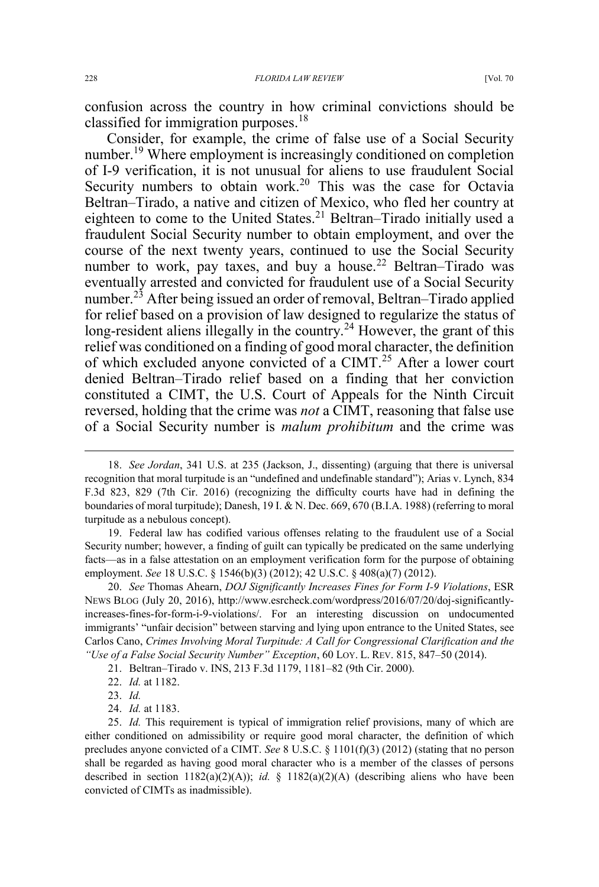confusion across the country in how criminal convictions should be classified for immigration purposes.<sup>18</sup>

Consider, for example, the crime of false use of a Social Security number.<sup>19</sup> Where employment is increasingly conditioned on completion of I-9 verification, it is not unusual for aliens to use fraudulent Social Security numbers to obtain work.<sup>20</sup> This was the case for Octavia Beltran–Tirado, a native and citizen of Mexico, who fled her country at eighteen to come to the United States.<sup>21</sup> Beltran–Tirado initially used a fraudulent Social Security number to obtain employment, and over the course of the next twenty years, continued to use the Social Security number to work, pay taxes, and buy a house.<sup>22</sup> Beltran–Tirado was eventually arrested and convicted for fraudulent use of a Social Security number.<sup>23</sup> After being issued an order of removal, Beltran–Tirado applied for relief based on a provision of law designed to regularize the status of long-resident aliens illegally in the country.<sup>24</sup> However, the grant of this relief was conditioned on a finding of good moral character, the definition of which excluded anyone convicted of a CIMT.<sup>25</sup> After a lower court denied Beltran–Tirado relief based on a finding that her conviction constituted a CIMT, the U.S. Court of Appeals for the Ninth Circuit reversed, holding that the crime was *not* a CIMT, reasoning that false use of a Social Security number is *malum prohibitum* and the crime was

19. Federal law has codified various offenses relating to the fraudulent use of a Social Security number; however, a finding of guilt can typically be predicated on the same underlying facts—as in a false attestation on an employment verification form for the purpose of obtaining employment. *See* 18 U.S.C. § 1546(b)(3) (2012); 42 U.S.C. § 408(a)(7) (2012).

20. *See* Thomas Ahearn, *DOJ Significantly Increases Fines for Form I-9 Violations*, ESR NEWS BLOG (July 20, 2016), http://www.esrcheck.com/wordpress/2016/07/20/doj-significantlyincreases-fines-for-form-i-9-violations/. For an interesting discussion on undocumented immigrants' "unfair decision" between starving and lying upon entrance to the United States, see Carlos Cano, *Crimes Involving Moral Turpitude: A Call for Congressional Clarification and the "Use of a False Social Security Number" Exception*, 60 LOY. L. REV. 815, 847–50 (2014).

22. *Id.* at 1182.

 <sup>18.</sup> *See Jordan*, 341 U.S. at 235 (Jackson, J., dissenting) (arguing that there is universal recognition that moral turpitude is an "undefined and undefinable standard"); Arias v. Lynch, 834 F.3d 823, 829 (7th Cir. 2016) (recognizing the difficulty courts have had in defining the boundaries of moral turpitude); Danesh, 19 I. & N. Dec. 669, 670 (B.I.A. 1988) (referring to moral turpitude as a nebulous concept).

<sup>21.</sup> Beltran–Tirado v. INS, 213 F.3d 1179, 1181–82 (9th Cir. 2000).

<sup>23.</sup> *Id.* 

<sup>24.</sup> *Id.* at 1183.

<sup>25.</sup> *Id.* This requirement is typical of immigration relief provisions, many of which are either conditioned on admissibility or require good moral character, the definition of which precludes anyone convicted of a CIMT. *See* 8 U.S.C. § 1101(f)(3) (2012) (stating that no person shall be regarded as having good moral character who is a member of the classes of persons described in section  $1182(a)(2)(A)$ ; *id.* §  $1182(a)(2)(A)$  (describing aliens who have been convicted of CIMTs as inadmissible).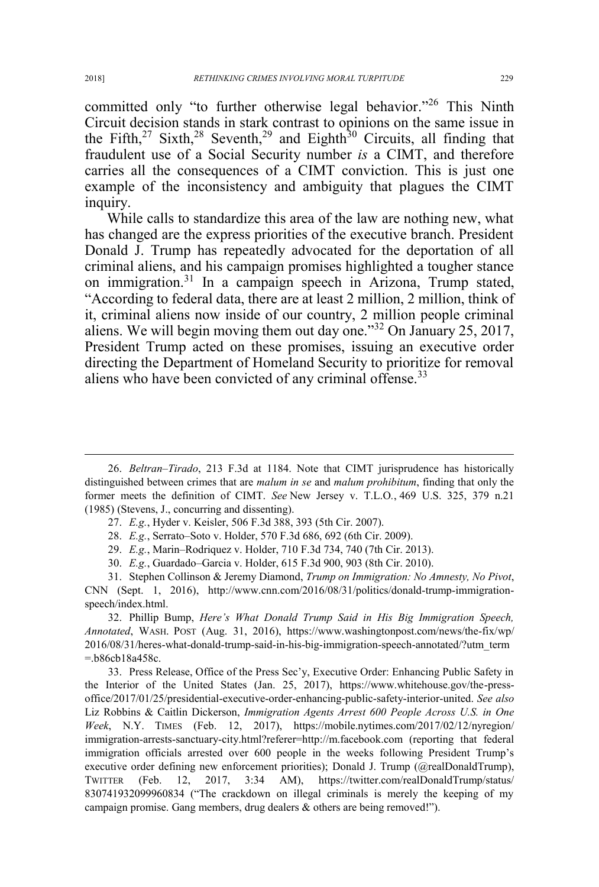committed only "to further otherwise legal behavior."<sup>26</sup> This Ninth Circuit decision stands in stark contrast to opinions on the same issue in the Fifth,<sup>27</sup> Sixth,<sup>28</sup> Seventh,<sup>29</sup> and Eighth<sup>30</sup> Circuits, all finding that fraudulent use of a Social Security number *is* a CIMT, and therefore carries all the consequences of a CIMT conviction. This is just one example of the inconsistency and ambiguity that plagues the CIMT inquiry.

While calls to standardize this area of the law are nothing new, what has changed are the express priorities of the executive branch. President Donald J. Trump has repeatedly advocated for the deportation of all criminal aliens, and his campaign promises highlighted a tougher stance on immigration.<sup>31</sup> In a campaign speech in Arizona, Trump stated, "According to federal data, there are at least 2 million, 2 million, think of it, criminal aliens now inside of our country, 2 million people criminal aliens. We will begin moving them out day one."<sup>32</sup> On January 25, 2017, President Trump acted on these promises, issuing an executive order directing the Department of Homeland Security to prioritize for removal aliens who have been convicted of any criminal offense.<sup>33</sup>

 <sup>26.</sup> *Beltran–Tirado*, 213 F.3d at 1184. Note that CIMT jurisprudence has historically distinguished between crimes that are *malum in se* and *malum prohibitum*, finding that only the former meets the definition of CIMT. *See* New Jersey v. T.L.O*.*, 469 U.S. 325, 379 n.21 (1985) (Stevens, J., concurring and dissenting).

<sup>27.</sup> *E.g.*, Hyder v. Keisler, 506 F.3d 388, 393 (5th Cir. 2007).

<sup>28.</sup> *E.g.*, Serrato–Soto v. Holder, 570 F.3d 686, 692 (6th Cir. 2009).

<sup>29.</sup> *E.g.*, Marin–Rodriquez v. Holder, 710 F.3d 734, 740 (7th Cir. 2013).

<sup>30.</sup> *E.g.*, Guardado–Garcia v. Holder, 615 F.3d 900, 903 (8th Cir. 2010).

<sup>31.</sup> Stephen Collinson & Jeremy Diamond, *Trump on Immigration: No Amnesty, No Pivot*, CNN (Sept. 1, 2016), http://www.cnn.com/2016/08/31/politics/donald-trump-immigrationspeech/index.html.

<sup>32.</sup> Phillip Bump, *Here's What Donald Trump Said in His Big Immigration Speech, Annotated*, WASH. POST (Aug. 31, 2016), https://www.washingtonpost.com/news/the-fix/wp/ 2016/08/31/heres-what-donald-trump-said-in-his-big-immigration-speech-annotated/?utm\_term =.b86cb18a458c.

<sup>33.</sup> Press Release, Office of the Press Sec'y, Executive Order: Enhancing Public Safety in the Interior of the United States (Jan. 25, 2017), https://www.whitehouse.gov/the-pressoffice/2017/01/25/presidential-executive-order-enhancing-public-safety-interior-united. *See also*  Liz Robbins & Caitlin Dickerson, *Immigration Agents Arrest 600 People Across U.S. in One Week*, N.Y. TIMES (Feb. 12, 2017), https://mobile.nytimes.com/2017/02/12/nyregion/ immigration-arrests-sanctuary-city.html?referer=http://m.facebook.com (reporting that federal immigration officials arrested over 600 people in the weeks following President Trump's executive order defining new enforcement priorities); Donald J. Trump (@realDonaldTrump), TWITTER (Feb. 12, 2017, 3:34 AM), https://twitter.com/realDonaldTrump/status/ 830741932099960834 ("The crackdown on illegal criminals is merely the keeping of my campaign promise. Gang members, drug dealers & others are being removed!").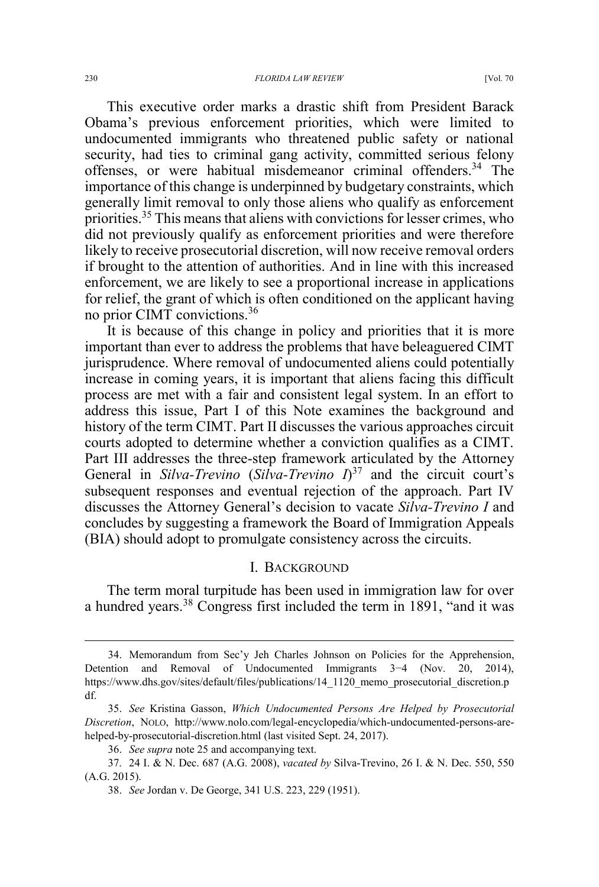This executive order marks a drastic shift from President Barack Obama's previous enforcement priorities, which were limited to undocumented immigrants who threatened public safety or national security, had ties to criminal gang activity, committed serious felony offenses, or were habitual misdemeanor criminal offenders.<sup>34</sup> The importance of this change is underpinned by budgetary constraints, which generally limit removal to only those aliens who qualify as enforcement priorities.35 This means that aliens with convictions for lesser crimes, who did not previously qualify as enforcement priorities and were therefore likely to receive prosecutorial discretion, will now receive removal orders if brought to the attention of authorities. And in line with this increased enforcement, we are likely to see a proportional increase in applications for relief, the grant of which is often conditioned on the applicant having no prior CIMT convictions.<sup>36</sup>

It is because of this change in policy and priorities that it is more important than ever to address the problems that have beleaguered CIMT jurisprudence. Where removal of undocumented aliens could potentially increase in coming years, it is important that aliens facing this difficult process are met with a fair and consistent legal system. In an effort to address this issue, Part I of this Note examines the background and history of the term CIMT. Part II discusses the various approaches circuit courts adopted to determine whether a conviction qualifies as a CIMT. Part III addresses the three-step framework articulated by the Attorney General in *Silva-Trevino* (*Silva-Trevino*  $I$ <sup>37</sup> and the circuit court's subsequent responses and eventual rejection of the approach. Part IV discusses the Attorney General's decision to vacate *Silva-Trevino I* and concludes by suggesting a framework the Board of Immigration Appeals (BIA) should adopt to promulgate consistency across the circuits.

#### I. BACKGROUND

The term moral turpitude has been used in immigration law for over a hundred years.<sup>38</sup> Congress first included the term in 1891, "and it was

 <sup>34.</sup> Memorandum from Sec'y Jeh Charles Johnson on Policies for the Apprehension, Detention and Removal of Undocumented Immigrants 3−4 (Nov. 20, 2014), https://www.dhs.gov/sites/default/files/publications/14\_1120\_memo\_prosecutorial\_discretion.p df.

<sup>35.</sup> *See* Kristina Gasson, *Which Undocumented Persons Are Helped by Prosecutorial Discretion*, NOLO, http://www.nolo.com/legal-encyclopedia/which-undocumented-persons-arehelped-by-prosecutorial-discretion.html (last visited Sept. 24, 2017).

<sup>36.</sup> *See supra* note 25 and accompanying text.

<sup>37. 24</sup> I. & N. Dec. 687 (A.G. 2008), *vacated by* Silva-Trevino, 26 I. & N. Dec. 550, 550 (A.G. 2015).

<sup>38.</sup> *See* Jordan v. De George, 341 U.S. 223, 229 (1951).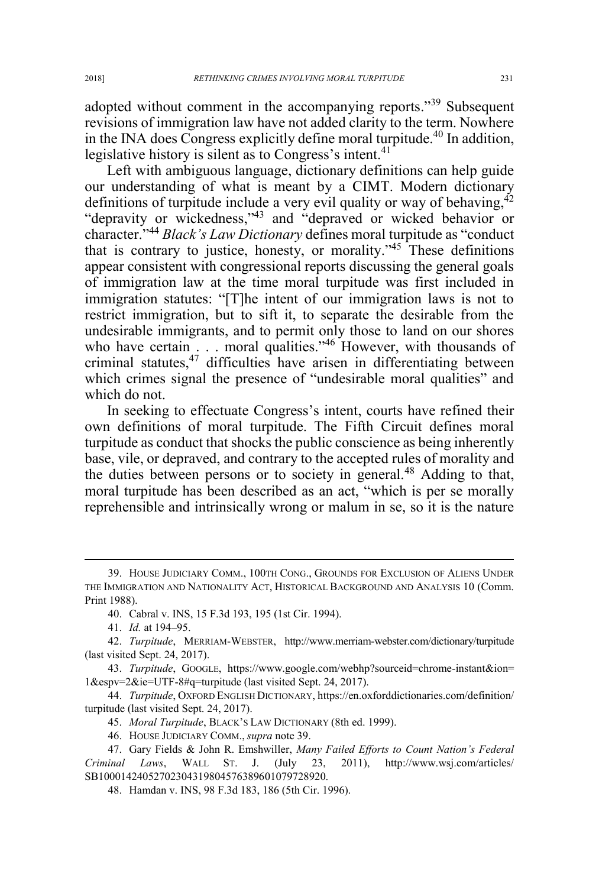adopted without comment in the accompanying reports."<sup>39</sup> Subsequent revisions of immigration law have not added clarity to the term. Nowhere in the INA does Congress explicitly define moral turpitude.<sup>40</sup> In addition, legislative history is silent as to Congress's intent.<sup>41</sup>

Left with ambiguous language, dictionary definitions can help guide our understanding of what is meant by a CIMT. Modern dictionary definitions of turpitude include a very evil quality or way of behaving,  $42$ "depravity or wickedness,"<sup>43</sup> and "depraved or wicked behavior or character."<sup>44</sup> *Black's Law Dictionary* defines moral turpitude as "conduct that is contrary to justice, honesty, or morality."<sup>45</sup> These definitions appear consistent with congressional reports discussing the general goals of immigration law at the time moral turpitude was first included in immigration statutes: "[T]he intent of our immigration laws is not to restrict immigration, but to sift it, to separate the desirable from the undesirable immigrants, and to permit only those to land on our shores who have certain . . . moral qualities."<sup>46</sup> However, with thousands of criminal statutes,<sup>47</sup> difficulties have arisen in differentiating between which crimes signal the presence of "undesirable moral qualities" and which do not.

In seeking to effectuate Congress's intent, courts have refined their own definitions of moral turpitude. The Fifth Circuit defines moral turpitude as conduct that shocks the public conscience as being inherently base, vile, or depraved, and contrary to the accepted rules of morality and the duties between persons or to society in general.<sup>48</sup> Adding to that, moral turpitude has been described as an act, "which is per se morally reprehensible and intrinsically wrong or malum in se, so it is the nature

 <sup>39.</sup> HOUSE JUDICIARY COMM., 100TH CONG., GROUNDS FOR EXCLUSION OF ALIENS UNDER THE IMMIGRATION AND NATIONALITY ACT, HISTORICAL BACKGROUND AND ANALYSIS 10 (Comm. Print 1988).

<sup>40.</sup> Cabral v. INS, 15 F.3d 193, 195 (1st Cir. 1994).

<sup>41.</sup> *Id.* at 194–95.

<sup>42.</sup> *Turpitude*, MERRIAM-WEBSTER, http://www.merriam-webster.com/dictionary/turpitude (last visited Sept. 24, 2017).

<sup>43.</sup> *Turpitude*, GOOGLE, https://www.google.com/webhp?sourceid=chrome-instant&ion= 1&espv=2&ie=UTF-8#q=turpitude (last visited Sept. 24, 2017).

<sup>44.</sup> *Turpitude*, OXFORD ENGLISH DICTIONARY, https://en.oxforddictionaries.com/definition/ turpitude (last visited Sept. 24, 2017).

<sup>45.</sup> *Moral Turpitude*, BLACK'S LAW DICTIONARY (8th ed. 1999).

<sup>46.</sup> HOUSE JUDICIARY COMM., *supra* note 39.

<sup>47.</sup> Gary Fields & John R. Emshwiller, *Many Failed Efforts to Count Nation's Federal Criminal Laws*, WALL ST. J. (July 23, 2011), http://www.wsj.com/articles/ SB10001424052702304319804576389601079728920.

<sup>48.</sup> Hamdan v. INS, 98 F.3d 183, 186 (5th Cir. 1996).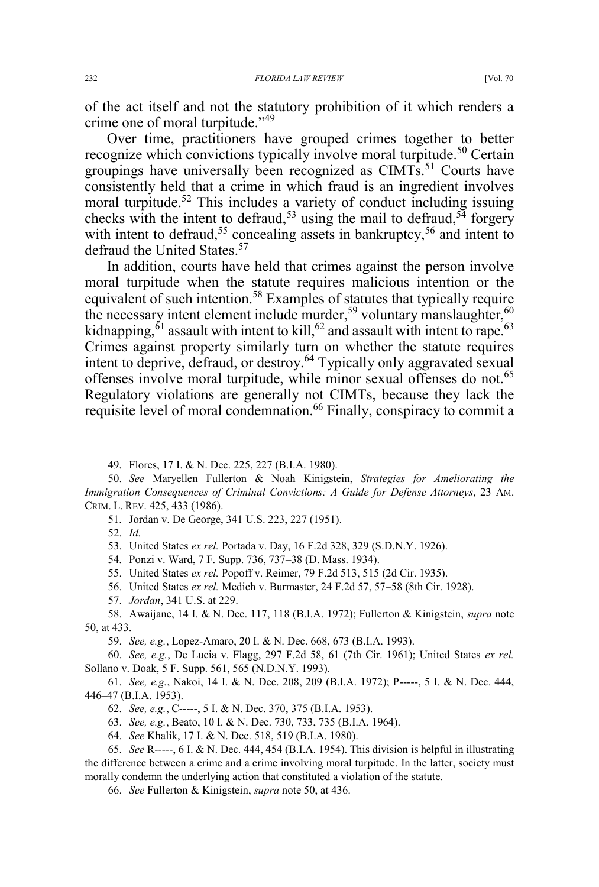of the act itself and not the statutory prohibition of it which renders a crime one of moral turpitude."<sup>49</sup>

Over time, practitioners have grouped crimes together to better recognize which convictions typically involve moral turpitude.<sup>50</sup> Certain groupings have universally been recognized as CIMTs.<sup>51</sup> Courts have consistently held that a crime in which fraud is an ingredient involves moral turpitude.<sup>52</sup> This includes a variety of conduct including issuing checks with the intent to defraud,<sup>53</sup> using the mail to defraud,<sup>54</sup> forgery with intent to defraud,<sup>55</sup> concealing assets in bankruptcy,<sup>56</sup> and intent to defraud the United States.<sup>57</sup>

In addition, courts have held that crimes against the person involve moral turpitude when the statute requires malicious intention or the equivalent of such intention.<sup>58</sup> Examples of statutes that typically require the necessary intent element include murder,<sup>59</sup> voluntary manslaughter,<sup>60</sup> kidnapping, ${}^{61}$  assault with intent to kill, ${}^{62}$  and assault with intent to rape.<sup>63</sup> Crimes against property similarly turn on whether the statute requires intent to deprive, defraud, or destroy.<sup>64</sup> Typically only aggravated sexual offenses involve moral turpitude, while minor sexual offenses do not.<sup>65</sup> Regulatory violations are generally not CIMTs, because they lack the requisite level of moral condemnation.<sup>66</sup> Finally, conspiracy to commit a

52. *Id.*

- 54. Ponzi v. Ward, 7 F. Supp. 736, 737–38 (D. Mass. 1934).
- 55. United States *ex rel.* Popoff v. Reimer, 79 F.2d 513, 515 (2d Cir. 1935).
- 56. United States *ex rel.* Medich v. Burmaster, 24 F.2d 57, 57–58 (8th Cir. 1928).
- 57. *Jordan*, 341 U.S. at 229.
- 58. Awaijane, 14 I. & N. Dec. 117, 118 (B.I.A. 1972); Fullerton & Kinigstein, *supra* note 50, at 433.

59. *See, e.g.*, Lopez-Amaro, 20 I. & N. Dec. 668, 673 (B.I.A. 1993).

60. *See, e.g.*, De Lucia v. Flagg, 297 F.2d 58, 61 (7th Cir. 1961); United States *ex rel.*  Sollano v. Doak, 5 F. Supp. 561, 565 (N.D.N.Y. 1993).

 <sup>49.</sup> Flores, 17 I. & N. Dec. 225, 227 (B.I.A. 1980).

<sup>50.</sup> *See* Maryellen Fullerton & Noah Kinigstein, *Strategies for Ameliorating the Immigration Consequences of Criminal Convictions: A Guide for Defense Attorneys*, 23 AM. CRIM. L. REV. 425, 433 (1986).

<sup>51.</sup> Jordan v. De George, 341 U.S. 223, 227 (1951).

<sup>53.</sup> United States *ex rel.* Portada v. Day, 16 F.2d 328, 329 (S.D.N.Y. 1926).

<sup>61.</sup> *See, e.g.*, Nakoi, 14 I. & N. Dec. 208, 209 (B.I.A. 1972); P-----, 5 I. & N. Dec. 444, 446–47 (B.I.A. 1953).

<sup>62.</sup> *See, e.g.*, C-----, 5 I. & N. Dec. 370, 375 (B.I.A. 1953).

<sup>63.</sup> *See, e.g.*, Beato, 10 I. & N. Dec. 730, 733, 735 (B.I.A. 1964).

<sup>64.</sup> *See* Khalik, 17 I. & N. Dec. 518, 519 (B.I.A. 1980).

<sup>65.</sup> *See* R-----, 6 I. & N. Dec. 444, 454 (B.I.A. 1954). This division is helpful in illustrating the difference between a crime and a crime involving moral turpitude. In the latter, society must morally condemn the underlying action that constituted a violation of the statute*.*

<sup>66.</sup> *See* Fullerton & Kinigstein, *supra* note 50, at 436.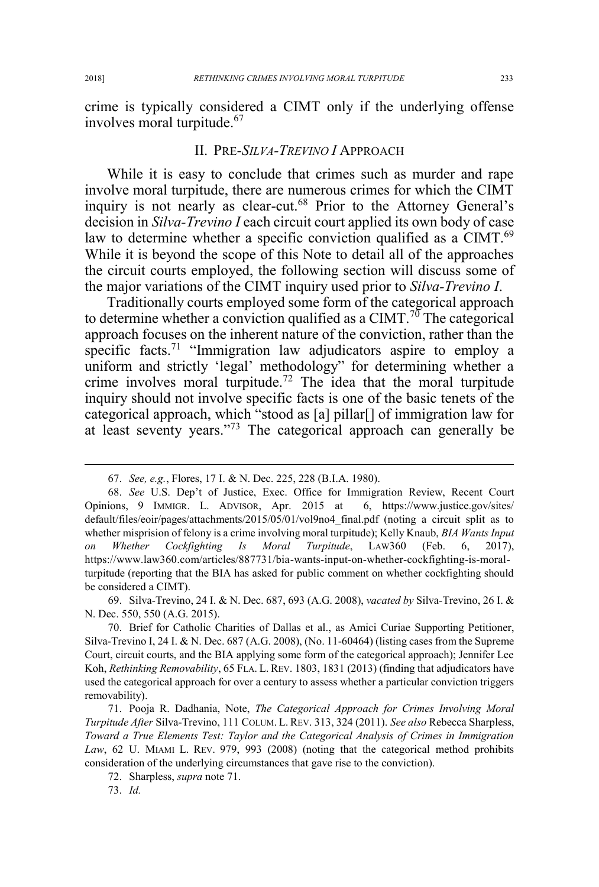crime is typically considered a CIMT only if the underlying offense involves moral turpitude.<sup>67</sup>

### II. PRE-*SILVA-TREVINO I* APPROACH

While it is easy to conclude that crimes such as murder and rape involve moral turpitude, there are numerous crimes for which the CIMT inquiry is not nearly as clear-cut.<sup>68</sup> Prior to the Attorney General's decision in *Silva-Trevino I* each circuit court applied its own body of case law to determine whether a specific conviction qualified as a CIMT.<sup>69</sup> While it is beyond the scope of this Note to detail all of the approaches the circuit courts employed, the following section will discuss some of the major variations of the CIMT inquiry used prior to *Silva-Trevino I*.

Traditionally courts employed some form of the categorical approach to determine whether a conviction qualified as a CIMT.<sup>70</sup> The categorical approach focuses on the inherent nature of the conviction, rather than the specific facts.<sup>71</sup> "Immigration law adjudicators aspire to employ a uniform and strictly 'legal' methodology" for determining whether a crime involves moral turpitude.<sup>72</sup> The idea that the moral turpitude inquiry should not involve specific facts is one of the basic tenets of the categorical approach, which "stood as [a] pillar[] of immigration law for at least seventy years."<sup>73</sup> The categorical approach can generally be

69. Silva-Trevino, 24 I. & N. Dec. 687, 693 (A.G. 2008), *vacated by* Silva-Trevino, 26 I. & N. Dec. 550, 550 (A.G. 2015).

70. Brief for Catholic Charities of Dallas et al., as Amici Curiae Supporting Petitioner, Silva-Trevino I, 24 I. & N. Dec. 687 (A.G. 2008), (No. 11-60464) (listing cases from the Supreme Court, circuit courts, and the BIA applying some form of the categorical approach); Jennifer Lee Koh, *Rethinking Removability*, 65 FLA. L. REV. 1803, 1831 (2013) (finding that adjudicators have used the categorical approach for over a century to assess whether a particular conviction triggers removability).

71. Pooja R. Dadhania, Note, *The Categorical Approach for Crimes Involving Moral Turpitude After* Silva-Trevino, 111 COLUM. L. REV. 313, 324 (2011). *See also* Rebecca Sharpless, *Toward a True Elements Test: Taylor and the Categorical Analysis of Crimes in Immigration Law*, 62 U. MIAMI L. REV. 979, 993 (2008) (noting that the categorical method prohibits consideration of the underlying circumstances that gave rise to the conviction).

 <sup>67.</sup> *See, e.g.*, Flores, 17 I. & N. Dec. 225, 228 (B.I.A. 1980).

<sup>68.</sup> *See* U.S. Dep't of Justice, Exec. Office for Immigration Review, Recent Court Opinions, 9 IMMIGR. L. ADVISOR, Apr. 2015 at 6, https://www.justice.gov/sites/ default/files/eoir/pages/attachments/2015/05/01/vol9no4\_final.pdf (noting a circuit split as to whether misprision of felony is a crime involving moral turpitude); Kelly Knaub, *BIA Wants Input on Whether Cockfighting Is Moral Turpitude*, LAW360 (Feb. 6, 2017), https://www.law360.com/articles/887731/bia-wants-input-on-whether-cockfighting-is-moralturpitude (reporting that the BIA has asked for public comment on whether cockfighting should be considered a CIMT).

<sup>72.</sup> Sharpless, *supra* note 71.

<sup>73.</sup> *Id.*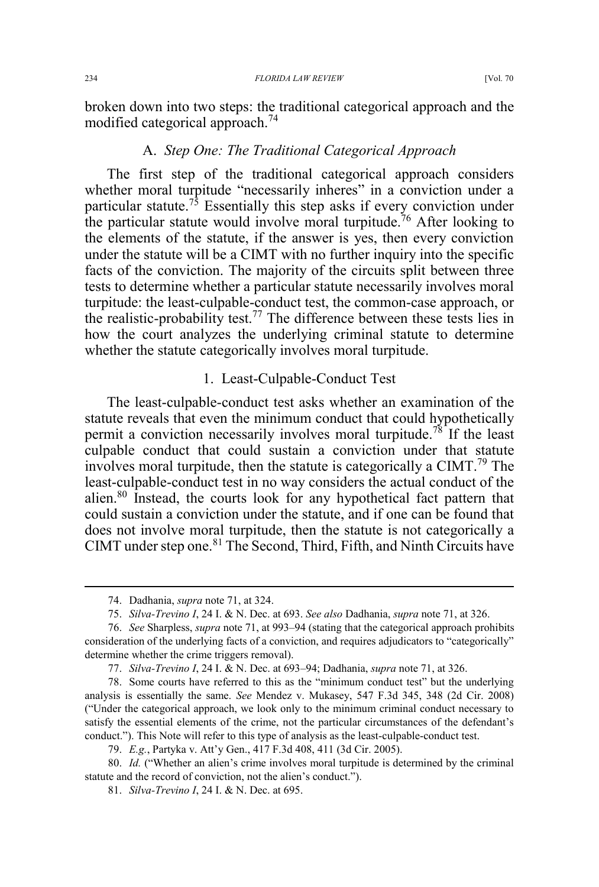234 *FLORIDA LAW REVIEW* [Vol. 70

broken down into two steps: the traditional categorical approach and the modified categorical approach.<sup>74</sup>

## A. *Step One: The Traditional Categorical Approach*

The first step of the traditional categorical approach considers whether moral turpitude "necessarily inheres" in a conviction under a particular statute.<sup>75</sup> Essentially this step asks if every conviction under the particular statute would involve moral turpitude.<sup>76</sup> After looking to the elements of the statute, if the answer is yes, then every conviction under the statute will be a CIMT with no further inquiry into the specific facts of the conviction. The majority of the circuits split between three tests to determine whether a particular statute necessarily involves moral turpitude: the least-culpable-conduct test, the common-case approach, or the realistic-probability test.<sup>77</sup> The difference between these tests lies in how the court analyzes the underlying criminal statute to determine whether the statute categorically involves moral turpitude.

#### 1. Least-Culpable-Conduct Test

The least-culpable-conduct test asks whether an examination of the statute reveals that even the minimum conduct that could hypothetically permit a conviction necessarily involves moral turpitude.<sup>78</sup> If the least culpable conduct that could sustain a conviction under that statute involves moral turpitude, then the statute is categorically a CIMT.<sup>79</sup> The least-culpable-conduct test in no way considers the actual conduct of the alien.80 Instead, the courts look for any hypothetical fact pattern that could sustain a conviction under the statute, and if one can be found that does not involve moral turpitude, then the statute is not categorically a CIMT under step one.<sup>81</sup> The Second, Third, Fifth, and Ninth Circuits have

 <sup>74.</sup> Dadhania, *supra* note 71, at 324.

<sup>75.</sup> *Silva-Trevino I*, 24 I. & N. Dec. at 693. *See also* Dadhania, *supra* note 71, at 326.

<sup>76.</sup> *See* Sharpless, *supra* note 71, at 993–94 (stating that the categorical approach prohibits consideration of the underlying facts of a conviction, and requires adjudicators to "categorically" determine whether the crime triggers removal).

<sup>77.</sup> *Silva-Trevino I*, 24 I. & N. Dec. at 693–94; Dadhania, *supra* note 71, at 326.

<sup>78.</sup> Some courts have referred to this as the "minimum conduct test" but the underlying analysis is essentially the same. *See* Mendez v. Mukasey, 547 F.3d 345, 348 (2d Cir. 2008) ("Under the categorical approach, we look only to the minimum criminal conduct necessary to satisfy the essential elements of the crime, not the particular circumstances of the defendant's conduct."). This Note will refer to this type of analysis as the least-culpable-conduct test.

<sup>79.</sup> *E.g.*, Partyka v. Att'y Gen., 417 F.3d 408, 411 (3d Cir. 2005).

<sup>80.</sup> *Id.* ("Whether an alien's crime involves moral turpitude is determined by the criminal statute and the record of conviction, not the alien's conduct.").

<sup>81.</sup> *Silva-Trevino I*, 24 I. & N. Dec. at 695.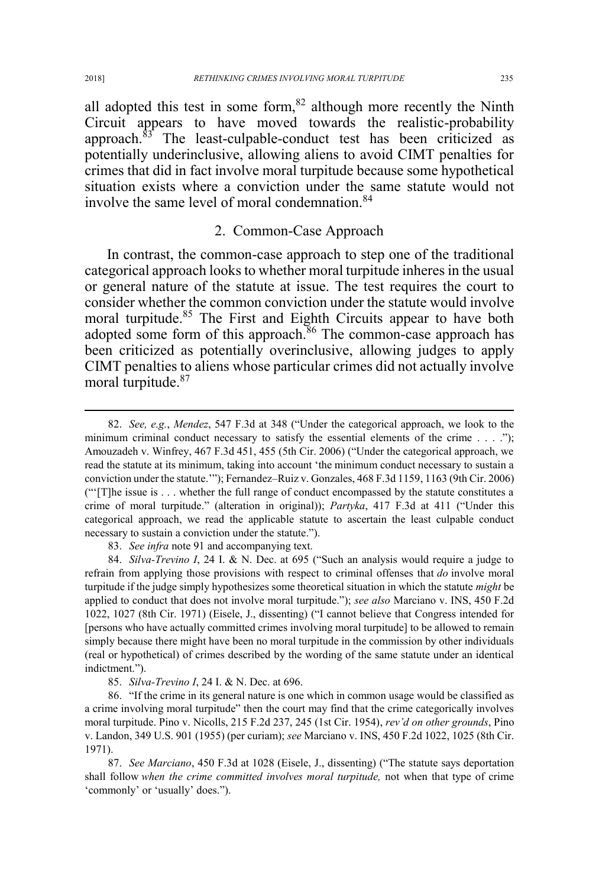all adopted this test in some form,  $82$  although more recently the Ninth Circuit appears to have moved towards the realistic-probability approach.<sup>83</sup> The least-culpable-conduct test has been criticized as potentially underinclusive, allowing aliens to avoid CIMT penalties for crimes that did in fact involve moral turpitude because some hypothetical situation exists where a conviction under the same statute would not involve the same level of moral condemnation.<sup>84</sup>

#### 2. Common-Case Approach

In contrast, the common-case approach to step one of the traditional categorical approach looks to whether moral turpitude inheres in the usual or general nature of the statute at issue. The test requires the court to consider whether the common conviction under the statute would involve moral turpitude.<sup>85</sup> The First and Eighth Circuits appear to have both adopted some form of this approach.<sup>86</sup> The common-case approach has been criticized as potentially overinclusive, allowing judges to apply CIMT penalties to aliens whose particular crimes did not actually involve moral turpitude. $87$ 

83. *See infra* note 91 and accompanying text.

84. *Silva-Trevino I*, 24 I. & N. Dec. at 695 ("Such an analysis would require a judge to refrain from applying those provisions with respect to criminal offenses that *do* involve moral turpitude if the judge simply hypothesizes some theoretical situation in which the statute *might* be applied to conduct that does not involve moral turpitude."); *see also* Marciano v. INS, 450 F.2d 1022, 1027 (8th Cir. 1971) (Eisele, J., dissenting) ("I cannot believe that Congress intended for [persons who have actually committed crimes involving moral turpitude] to be allowed to remain simply because there might have been no moral turpitude in the commission by other individuals (real or hypothetical) of crimes described by the wording of the same statute under an identical indictment.").

85. *Silva-Trevino I*, 24 I. & N. Dec. at 696.

86. "If the crime in its general nature is one which in common usage would be classified as a crime involving moral turpitude" then the court may find that the crime categorically involves moral turpitude. Pino v. Nicolls, 215 F.2d 237, 245 (1st Cir. 1954), *rev'd on other grounds*, Pino v. Landon, 349 U.S. 901 (1955) (per curiam); *see* Marciano v. INS, 450 F.2d 1022, 1025 (8th Cir. 1971).

87. *See Marciano*, 450 F.3d at 1028 (Eisele, J., dissenting) ("The statute says deportation shall follow *when the crime committed involves moral turpitude,* not when that type of crime 'commonly' or 'usually' does.").

 <sup>82.</sup> *See, e.g.*, *Mendez*, 547 F.3d at 348 ("Under the categorical approach, we look to the minimum criminal conduct necessary to satisfy the essential elements of the crime . . . ."); Amouzadeh v. Winfrey, 467 F.3d 451, 455 (5th Cir. 2006) ("Under the categorical approach, we read the statute at its minimum, taking into account 'the minimum conduct necessary to sustain a conviction under the statute.'"); Fernandez–Ruiz v. Gonzales, 468 F.3d 1159, 1163 (9th Cir. 2006) ("'[T]he issue is . . . whether the full range of conduct encompassed by the statute constitutes a crime of moral turpitude." (alteration in original)); *Partyka*, 417 F.3d at 411 ("Under this categorical approach, we read the applicable statute to ascertain the least culpable conduct necessary to sustain a conviction under the statute.").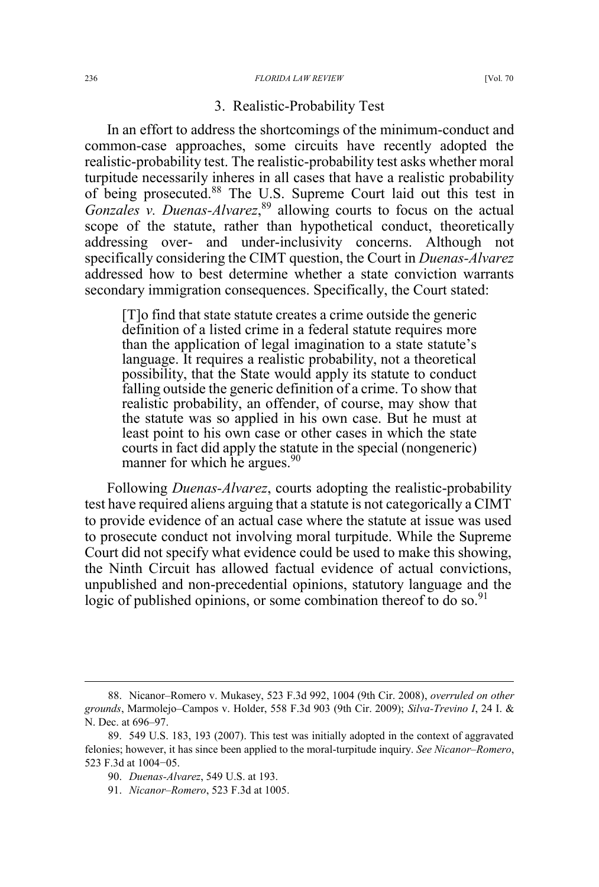#### 236 *FLORIDA LAW REVIEW* [Vol. 70

## 3. Realistic-Probability Test

In an effort to address the shortcomings of the minimum-conduct and common-case approaches, some circuits have recently adopted the realistic-probability test. The realistic-probability test asks whether moral turpitude necessarily inheres in all cases that have a realistic probability of being prosecuted.<sup>88</sup> The U.S. Supreme Court laid out this test in *Gonzales v. Duenas-Alvarez*, <sup>89</sup> allowing courts to focus on the actual scope of the statute, rather than hypothetical conduct, theoretically addressing over- and under-inclusivity concerns. Although not specifically considering the CIMT question, the Court in *Duenas-Alvarez* addressed how to best determine whether a state conviction warrants secondary immigration consequences. Specifically, the Court stated:

[T]o find that state statute creates a crime outside the generic definition of a listed crime in a federal statute requires more than the application of legal imagination to a state statute's language. It requires a realistic probability, not a theoretical possibility, that the State would apply its statute to conduct falling outside the generic definition of a crime. To show that realistic probability, an offender, of course, may show that the statute was so applied in his own case. But he must at least point to his own case or other cases in which the state courts in fact did apply the statute in the special (nongeneric) manner for which he argues.<sup>90</sup>

Following *Duenas-Alvarez*, courts adopting the realistic-probability test have required aliens arguing that a statute is not categorically a CIMT to provide evidence of an actual case where the statute at issue was used to prosecute conduct not involving moral turpitude. While the Supreme Court did not specify what evidence could be used to make this showing, the Ninth Circuit has allowed factual evidence of actual convictions, unpublished and non-precedential opinions, statutory language and the logic of published opinions, or some combination thereof to do so.<sup>91</sup>

 <sup>88.</sup> Nicanor–Romero v. Mukasey, 523 F.3d 992, 1004 (9th Cir. 2008), *overruled on other grounds*, Marmolejo–Campos v. Holder, 558 F.3d 903 (9th Cir. 2009); *Silva-Trevino I*, 24 I. & N. Dec. at 696–97.

<sup>89. 549</sup> U.S. 183, 193 (2007). This test was initially adopted in the context of aggravated felonies; however, it has since been applied to the moral-turpitude inquiry. *See Nicanor–Romero*, 523 F.3d at 1004−05.

<sup>90.</sup> *Duenas-Alvarez*, 549 U.S. at 193.

<sup>91.</sup> *Nicanor–Romero*, 523 F.3d at 1005.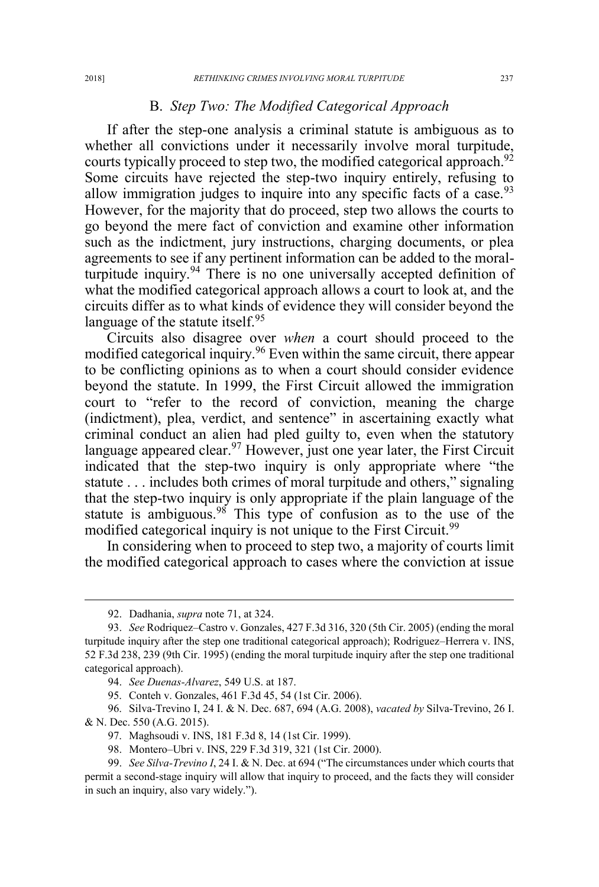#### B. *Step Two: The Modified Categorical Approach*

If after the step-one analysis a criminal statute is ambiguous as to whether all convictions under it necessarily involve moral turpitude, courts typically proceed to step two, the modified categorical approach.<sup>92</sup> Some circuits have rejected the step-two inquiry entirely, refusing to allow immigration judges to inquire into any specific facts of a case. $93$ However, for the majority that do proceed, step two allows the courts to go beyond the mere fact of conviction and examine other information such as the indictment, jury instructions, charging documents, or plea agreements to see if any pertinent information can be added to the moralturpitude inquiry. $94$  There is no one universally accepted definition of what the modified categorical approach allows a court to look at, and the circuits differ as to what kinds of evidence they will consider beyond the language of the statute itself.<sup>95</sup>

Circuits also disagree over *when* a court should proceed to the modified categorical inquiry.<sup>96</sup> Even within the same circuit, there appear to be conflicting opinions as to when a court should consider evidence beyond the statute. In 1999, the First Circuit allowed the immigration court to "refer to the record of conviction, meaning the charge (indictment), plea, verdict, and sentence" in ascertaining exactly what criminal conduct an alien had pled guilty to, even when the statutory language appeared clear.<sup>97</sup> However, just one year later, the First Circuit indicated that the step-two inquiry is only appropriate where "the statute . . . includes both crimes of moral turpitude and others," signaling that the step-two inquiry is only appropriate if the plain language of the statute is ambiguous.<sup>98</sup> This type of confusion as to the use of the modified categorical inquiry is not unique to the First Circuit.<sup>99</sup>

In considering when to proceed to step two, a majority of courts limit the modified categorical approach to cases where the conviction at issue

 <sup>92.</sup> Dadhania, *supra* note 71, at 324.

<sup>93.</sup> *See* Rodriquez–Castro v. Gonzales, 427 F.3d 316, 320 (5th Cir. 2005) (ending the moral turpitude inquiry after the step one traditional categorical approach); Rodriguez–Herrera v. INS, 52 F.3d 238, 239 (9th Cir. 1995) (ending the moral turpitude inquiry after the step one traditional categorical approach).

<sup>94.</sup> *See Duenas-Alvarez*, 549 U.S. at 187.

<sup>95.</sup> Conteh v. Gonzales, 461 F.3d 45, 54 (1st Cir. 2006).

<sup>96.</sup> Silva-Trevino I, 24 I. & N. Dec. 687, 694 (A.G. 2008), *vacated by* Silva-Trevino, 26 I. & N. Dec. 550 (A.G. 2015).

<sup>97.</sup> Maghsoudi v. INS, 181 F.3d 8, 14 (1st Cir. 1999).

<sup>98.</sup> Montero–Ubri v. INS, 229 F.3d 319, 321 (1st Cir. 2000).

<sup>99.</sup> *See Silva-Trevino I*, 24 I. & N. Dec. at 694 ("The circumstances under which courts that permit a second-stage inquiry will allow that inquiry to proceed, and the facts they will consider in such an inquiry, also vary widely.").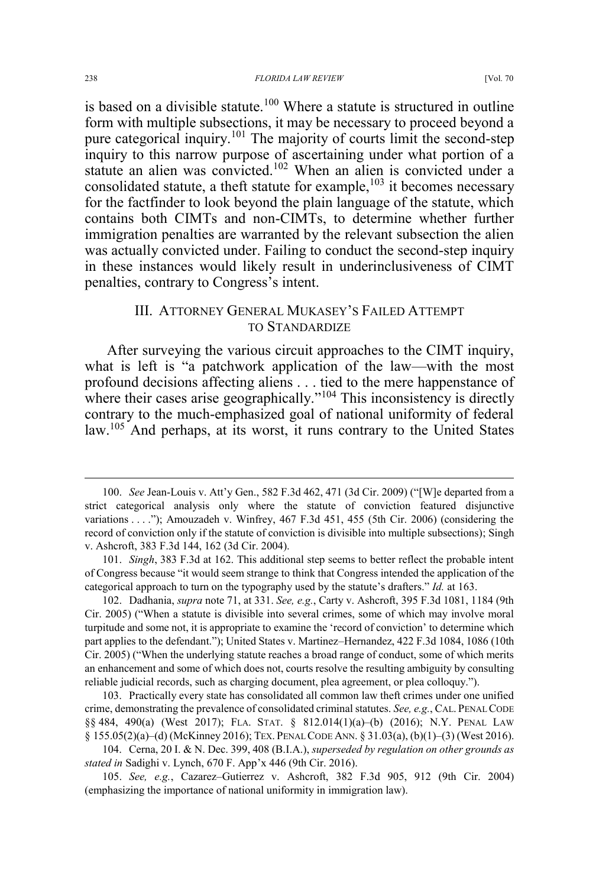is based on a divisible statute.<sup>100</sup> Where a statute is structured in outline form with multiple subsections, it may be necessary to proceed beyond a pure categorical inquiry.<sup>101</sup> The majority of courts limit the second-step inquiry to this narrow purpose of ascertaining under what portion of a statute an alien was convicted.<sup>102</sup> When an alien is convicted under a consolidated statute, a theft statute for example,  $^{103}$  it becomes necessary for the factfinder to look beyond the plain language of the statute, which contains both CIMTs and non-CIMTs, to determine whether further immigration penalties are warranted by the relevant subsection the alien was actually convicted under. Failing to conduct the second-step inquiry in these instances would likely result in underinclusiveness of CIMT penalties, contrary to Congress's intent.

## III. ATTORNEY GENERAL MUKASEY'S FAILED ATTEMPT TO STANDARDIZE

After surveying the various circuit approaches to the CIMT inquiry, what is left is "a patchwork application of the law—with the most profound decisions affecting aliens . . . tied to the mere happenstance of where their cases arise geographically."<sup>104</sup> This inconsistency is directly contrary to the much-emphasized goal of national uniformity of federal law.<sup>105</sup> And perhaps, at its worst, it runs contrary to the United States

102. Dadhania, *supra* note 71, at 331. *See, e.g.*, Carty v. Ashcroft, 395 F.3d 1081, 1184 (9th Cir. 2005) ("When a statute is divisible into several crimes, some of which may involve moral turpitude and some not, it is appropriate to examine the 'record of conviction' to determine which part applies to the defendant."); United States v. Martinez–Hernandez, 422 F.3d 1084, 1086 (10th Cir. 2005) ("When the underlying statute reaches a broad range of conduct, some of which merits an enhancement and some of which does not, courts resolve the resulting ambiguity by consulting reliable judicial records, such as charging document, plea agreement, or plea colloquy.").

103. Practically every state has consolidated all common law theft crimes under one unified crime, demonstrating the prevalence of consolidated criminal statutes. *See, e.g.*, CAL. PENAL CODE §§ 484, 490(a) (West 2017); FLA. STAT. § 812.014(1)(a)–(b) (2016); N.Y. PENAL LAW § 155.05(2)(a)–(d) (McKinney 2016); TEX. PENAL CODE ANN. § 31.03(a), (b)(1)–(3) (West 2016).

104. Cerna, 20 I. & N. Dec. 399, 408 (B.I.A.), *superseded by regulation on other grounds as stated in* Sadighi v. Lynch, 670 F. App'x 446 (9th Cir. 2016).

105. *See, e.g.*, Cazarez–Gutierrez v. Ashcroft, 382 F.3d 905, 912 (9th Cir. 2004) (emphasizing the importance of national uniformity in immigration law).

 <sup>100.</sup> *See* Jean-Louis v. Att'y Gen., 582 F.3d 462, 471 (3d Cir. 2009) ("[W]e departed from a strict categorical analysis only where the statute of conviction featured disjunctive variations . . . ."); Amouzadeh v. Winfrey, 467 F.3d 451, 455 (5th Cir. 2006) (considering the record of conviction only if the statute of conviction is divisible into multiple subsections); Singh v. Ashcroft, 383 F.3d 144, 162 (3d Cir. 2004).

<sup>101.</sup> *Singh*, 383 F.3d at 162. This additional step seems to better reflect the probable intent of Congress because "it would seem strange to think that Congress intended the application of the categorical approach to turn on the typography used by the statute's drafters." *Id.* at 163.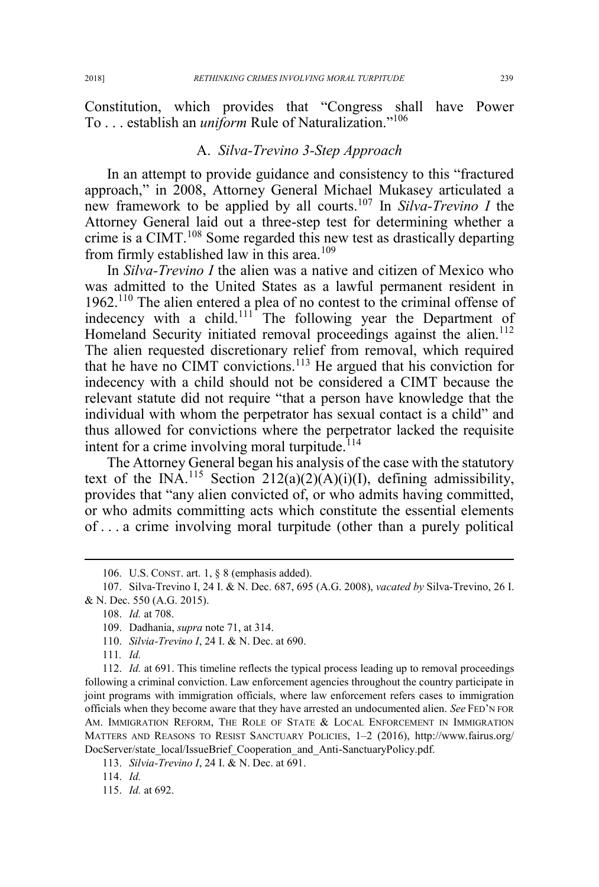Constitution, which provides that "Congress shall have Power To . . . establish an *uniform* Rule of Naturalization."<sup>106</sup>

## A. *Silva-Trevino 3-Step Approach*

In an attempt to provide guidance and consistency to this "fractured approach," in 2008, Attorney General Michael Mukasey articulated a new framework to be applied by all courts.<sup>107</sup> In *Silva-Trevino I* the Attorney General laid out a three-step test for determining whether a crime is a CIMT.<sup>108</sup> Some regarded this new test as drastically departing from firmly established law in this area.<sup>109</sup>

In *Silva-Trevino I* the alien was a native and citizen of Mexico who was admitted to the United States as a lawful permanent resident in 1962.110 The alien entered a plea of no contest to the criminal offense of indecency with a child. $111$  The following year the Department of Homeland Security initiated removal proceedings against the alien.<sup>112</sup> The alien requested discretionary relief from removal, which required that he have no CIMT convictions.<sup>113</sup> He argued that his conviction for indecency with a child should not be considered a CIMT because the relevant statute did not require "that a person have knowledge that the individual with whom the perpetrator has sexual contact is a child" and thus allowed for convictions where the perpetrator lacked the requisite intent for a crime involving moral turpitude.<sup>114</sup>

The Attorney General began his analysis of the case with the statutory text of the INA.<sup>115</sup> Section 212(a)(2)(A)(i)(I), defining admissibility, provides that "any alien convicted of, or who admits having committed, or who admits committing acts which constitute the essential elements of . . . a crime involving moral turpitude (other than a purely political

111*. Id.*

 <sup>106.</sup> U.S. CONST. art. 1, § 8 (emphasis added).

<sup>107.</sup> Silva-Trevino I, 24 I. & N. Dec. 687, 695 (A.G. 2008), *vacated by* Silva-Trevino, 26 I. & N. Dec. 550 (A.G. 2015).

<sup>108.</sup> *Id.* at 708.

<sup>109.</sup> Dadhania, *supra* note 71, at 314.

<sup>110.</sup> *Silvia-Trevino I*, 24 I. & N. Dec. at 690.

<sup>112.</sup> *Id.* at 691. This timeline reflects the typical process leading up to removal proceedings following a criminal conviction. Law enforcement agencies throughout the country participate in joint programs with immigration officials, where law enforcement refers cases to immigration officials when they become aware that they have arrested an undocumented alien. *See* FED'N FOR AM. IMMIGRATION REFORM, THE ROLE OF STATE & LOCAL ENFORCEMENT IN IMMIGRATION MATTERS AND REASONS TO RESIST SANCTUARY POLICIES, 1–2 (2016), http://www.fairus.org/ DocServer/state\_local/IssueBrief\_Cooperation\_and\_Anti-SanctuaryPolicy.pdf.

<sup>113.</sup> *Silvia-Trevino I*, 24 I. & N. Dec. at 691.

<sup>114.</sup> *Id.*

<sup>115.</sup> *Id.* at 692.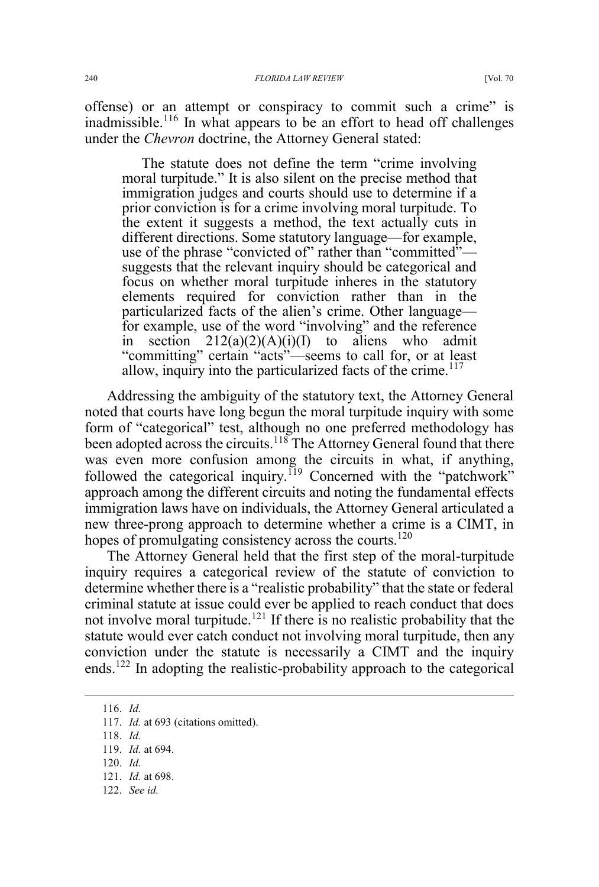offense) or an attempt or conspiracy to commit such a crime" is inadmissible.<sup>116</sup> In what appears to be an effort to head off challenges under the *Chevron* doctrine, the Attorney General stated:

The statute does not define the term "crime involving moral turpitude." It is also silent on the precise method that immigration judges and courts should use to determine if a prior conviction is for a crime involving moral turpitude. To the extent it suggests a method, the text actually cuts in different directions. Some statutory language—for example, use of the phrase "convicted of" rather than "committed" suggests that the relevant inquiry should be categorical and focus on whether moral turpitude inheres in the statutory elements required for conviction rather than in the particularized facts of the alien's crime. Other language for example, use of the word "involving" and the reference in section  $212(a)(2)(A)(i)(I)$  to aliens who admit "committing" certain "acts"—seems to call for, or at least allow, inquiry into the particularized facts of the crime.<sup>117</sup>

Addressing the ambiguity of the statutory text, the Attorney General noted that courts have long begun the moral turpitude inquiry with some form of "categorical" test, although no one preferred methodology has been adopted across the circuits.<sup>118</sup> The Attorney General found that there was even more confusion among the circuits in what, if anything, followed the categorical inquiry.<sup>119</sup> Concerned with the "patchwork" approach among the different circuits and noting the fundamental effects immigration laws have on individuals, the Attorney General articulated a new three-prong approach to determine whether a crime is a CIMT, in hopes of promulgating consistency across the courts.<sup>120</sup>

The Attorney General held that the first step of the moral-turpitude inquiry requires a categorical review of the statute of conviction to determine whether there is a "realistic probability" that the state or federal criminal statute at issue could ever be applied to reach conduct that does not involve moral turpitude.<sup>121</sup> If there is no realistic probability that the statute would ever catch conduct not involving moral turpitude, then any conviction under the statute is necessarily a CIMT and the inquiry ends.<sup>122</sup> In adopting the realistic-probability approach to the categorical

- 121. *Id.* at 698.
- 122. *See id.*

 <sup>116.</sup> *Id.*

<sup>117.</sup> *Id.* at 693 (citations omitted).

<sup>118.</sup> *Id.*

<sup>119.</sup> *Id.* at 694.

<sup>120.</sup> *Id.*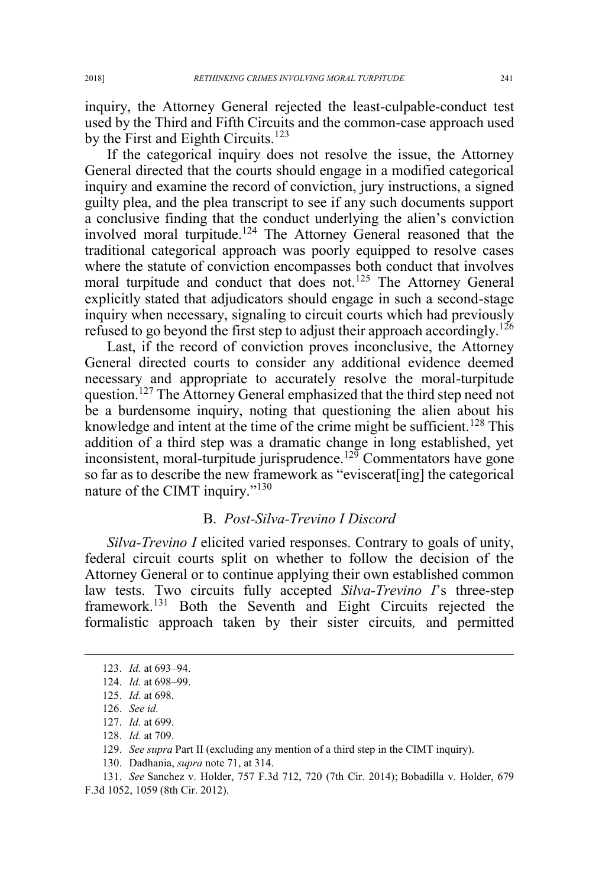inquiry, the Attorney General rejected the least-culpable-conduct test used by the Third and Fifth Circuits and the common-case approach used by the First and Eighth Circuits.<sup>123</sup>

If the categorical inquiry does not resolve the issue, the Attorney General directed that the courts should engage in a modified categorical inquiry and examine the record of conviction, jury instructions, a signed guilty plea, and the plea transcript to see if any such documents support a conclusive finding that the conduct underlying the alien's conviction involved moral turpitude.<sup>124</sup> The Attorney General reasoned that the traditional categorical approach was poorly equipped to resolve cases where the statute of conviction encompasses both conduct that involves moral turpitude and conduct that does not.<sup>125</sup> The Attorney General explicitly stated that adjudicators should engage in such a second-stage inquiry when necessary, signaling to circuit courts which had previously refused to go beyond the first step to adjust their approach accordingly.<sup>126</sup>

Last, if the record of conviction proves inconclusive, the Attorney General directed courts to consider any additional evidence deemed necessary and appropriate to accurately resolve the moral-turpitude question.<sup>127</sup> The Attorney General emphasized that the third step need not be a burdensome inquiry, noting that questioning the alien about his knowledge and intent at the time of the crime might be sufficient.<sup>128</sup> This addition of a third step was a dramatic change in long established, yet inconsistent, moral-turpitude jurisprudence.<sup>129</sup> Commentators have gone so far as to describe the new framework as "eviscerat[ing] the categorical nature of the CIMT inquiry."<sup>130</sup>

#### B. *Post-Silva-Trevino I Discord*

*Silva-Trevino I* elicited varied responses. Contrary to goals of unity, federal circuit courts split on whether to follow the decision of the Attorney General or to continue applying their own established common law tests. Two circuits fully accepted *Silva-Trevino I*'s three-step framework.<sup>131</sup> Both the Seventh and Eight Circuits rejected the formalistic approach taken by their sister circuits*,* and permitted

 <sup>123.</sup> *Id.* at 693–94.

<sup>124.</sup> *Id.* at 698–99.

<sup>125.</sup> *Id.* at 698.

<sup>126.</sup> *See id.*

<sup>127.</sup> *Id.* at 699.

<sup>128.</sup> *Id.* at 709.

<sup>129.</sup> *See supra* Part II (excluding any mention of a third step in the CIMT inquiry).

<sup>130.</sup> Dadhania, *supra* note 71, at 314.

<sup>131.</sup> *See* Sanchez v. Holder, 757 F.3d 712, 720 (7th Cir. 2014); Bobadilla v. Holder, 679 F.3d 1052, 1059 (8th Cir. 2012).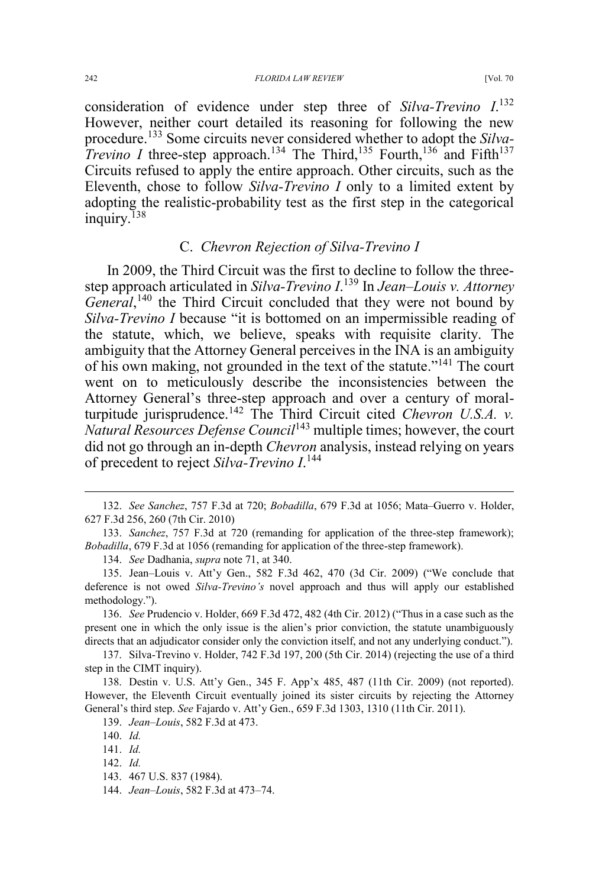#### 242 *FLORIDA LAW REVIEW* [Vol. 70

consideration of evidence under step three of *Silva-Trevino I*. 132 However, neither court detailed its reasoning for following the new procedure.<sup>133</sup> Some circuits never considered whether to adopt the *Silva-Trevino I* three-step approach.<sup>134</sup> The Third,<sup>135</sup> Fourth,<sup>136</sup> and Fifth<sup>137</sup> Circuits refused to apply the entire approach. Other circuits, such as the Eleventh, chose to follow *Silva-Trevino I* only to a limited extent by adopting the realistic-probability test as the first step in the categorical inquiry.<sup>138</sup>

## C. *Chevron Rejection of Silva-Trevino I*

In 2009, the Third Circuit was the first to decline to follow the threestep approach articulated in *Silva-Trevino I*. <sup>139</sup> In *Jean–Louis v. Attorney*  General,<sup>140</sup> the Third Circuit concluded that they were not bound by *Silva-Trevino I* because "it is bottomed on an impermissible reading of the statute, which, we believe, speaks with requisite clarity. The ambiguity that the Attorney General perceives in the INA is an ambiguity of his own making, not grounded in the text of the statute."<sup>141</sup> The court went on to meticulously describe the inconsistencies between the Attorney General's three-step approach and over a century of moralturpitude jurisprudence.<sup>142</sup> The Third Circuit cited *Chevron U.S.A. v. Natural Resources Defense Council*<sup>143</sup> multiple times; however, the court did not go through an in-depth *Chevron* analysis, instead relying on years of precedent to reject *Silva-Trevino I*. 144

136. *See* Prudencio v. Holder, 669 F.3d 472, 482 (4th Cir. 2012) ("Thus in a case such as the present one in which the only issue is the alien's prior conviction, the statute unambiguously directs that an adjudicator consider only the conviction itself, and not any underlying conduct.").

137. Silva-Trevino v. Holder, 742 F.3d 197, 200 (5th Cir. 2014) (rejecting the use of a third step in the CIMT inquiry).

138. Destin v. U.S. Att'y Gen., 345 F. App'x 485, 487 (11th Cir. 2009) (not reported). However, the Eleventh Circuit eventually joined its sister circuits by rejecting the Attorney General's third step. *See* Fajardo v. Att'y Gen., 659 F.3d 1303, 1310 (11th Cir. 2011).

 <sup>132.</sup> *See Sanchez*, 757 F.3d at 720; *Bobadilla*, 679 F.3d at 1056; Mata–Guerro v. Holder, 627 F.3d 256, 260 (7th Cir. 2010)

<sup>133.</sup> *Sanchez*, 757 F.3d at 720 (remanding for application of the three-step framework); *Bobadilla*, 679 F.3d at 1056 (remanding for application of the three-step framework).

<sup>134.</sup> *See* Dadhania, *supra* note 71, at 340.

<sup>135.</sup> Jean–Louis v. Att'y Gen., 582 F.3d 462, 470 (3d Cir. 2009) ("We conclude that deference is not owed *Silva-Trevino's* novel approach and thus will apply our established methodology.").

<sup>139.</sup> *Jean–Louis*, 582 F.3d at 473.

<sup>140.</sup> *Id.*

<sup>141.</sup> *Id.*

<sup>142.</sup> *Id.*

<sup>143. 467</sup> U.S. 837 (1984).

<sup>144.</sup> *Jean–Louis*, 582 F.3d at 473–74.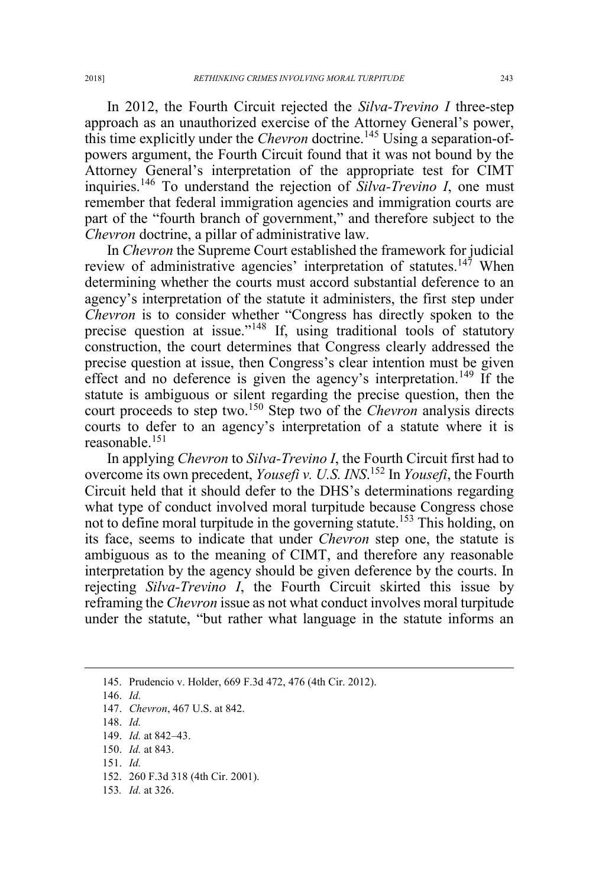In 2012, the Fourth Circuit rejected the *Silva-Trevino I* three-step approach as an unauthorized exercise of the Attorney General's power, this time explicitly under the *Chevron* doctrine.<sup>145</sup> Using a separation-ofpowers argument, the Fourth Circuit found that it was not bound by the Attorney General's interpretation of the appropriate test for CIMT inquiries.<sup>146</sup> To understand the rejection of *Silva-Trevino I*, one must remember that federal immigration agencies and immigration courts are part of the "fourth branch of government," and therefore subject to the *Chevron* doctrine, a pillar of administrative law.

In *Chevron* the Supreme Court established the framework for judicial review of administrative agencies' interpretation of statutes.<sup>147</sup> When determining whether the courts must accord substantial deference to an agency's interpretation of the statute it administers, the first step under *Chevron* is to consider whether "Congress has directly spoken to the precise question at issue."<sup>148</sup> If, using traditional tools of statutory construction, the court determines that Congress clearly addressed the precise question at issue, then Congress's clear intention must be given effect and no deference is given the agency's interpretation.<sup>149</sup> If the statute is ambiguous or silent regarding the precise question, then the court proceeds to step two.<sup>150</sup> Step two of the *Chevron* analysis directs courts to defer to an agency's interpretation of a statute where it is reasonable.<sup>151</sup>

In applying *Chevron* to *Silva-Trevino I*, the Fourth Circuit first had to overcome its own precedent, *Yousefi v. U.S. INS*. <sup>152</sup> In *Yousefi*, the Fourth Circuit held that it should defer to the DHS's determinations regarding what type of conduct involved moral turpitude because Congress chose not to define moral turpitude in the governing statute.<sup>153</sup> This holding, on its face, seems to indicate that under *Chevron* step one, the statute is ambiguous as to the meaning of CIMT, and therefore any reasonable interpretation by the agency should be given deference by the courts. In rejecting *Silva-Trevino I*, the Fourth Circuit skirted this issue by reframing the *Chevron* issue as not what conduct involves moral turpitude under the statute, "but rather what language in the statute informs an

145. Prudencio v. Holder, 669 F.3d 472, 476 (4th Cir. 2012).

146. *Id.* 147. *Chevron*, 467 U.S. at 842.

148. *Id.*

149. *Id.* at 842–43.

150. *Id.* at 843.

151. *Id.*

152. 260 F.3d 318 (4th Cir. 2001).

153*. Id.* at 326.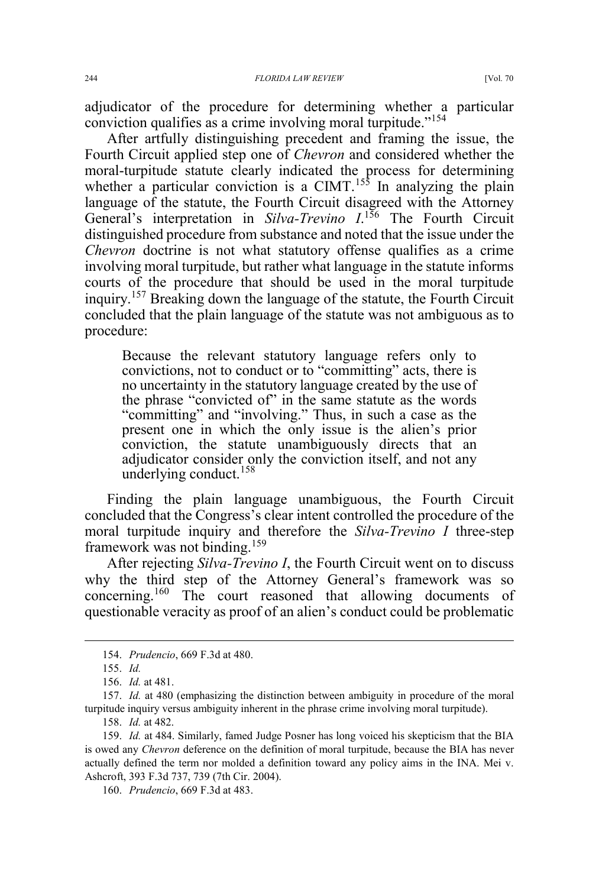adjudicator of the procedure for determining whether a particular conviction qualifies as a crime involving moral turpitude."<sup>154</sup>

After artfully distinguishing precedent and framing the issue, the Fourth Circuit applied step one of *Chevron* and considered whether the moral-turpitude statute clearly indicated the process for determining whether a particular conviction is a CIMT.<sup>155</sup> In analyzing the plain language of the statute, the Fourth Circuit disagreed with the Attorney General's interpretation in *Silva-Trevino I*.<sup>156</sup> The Fourth Circuit distinguished procedure from substance and noted that the issue under the *Chevron* doctrine is not what statutory offense qualifies as a crime involving moral turpitude, but rather what language in the statute informs courts of the procedure that should be used in the moral turpitude inquiry.<sup>157</sup> Breaking down the language of the statute, the Fourth Circuit concluded that the plain language of the statute was not ambiguous as to procedure:

Because the relevant statutory language refers only to convictions, not to conduct or to "committing" acts, there is no uncertainty in the statutory language created by the use of the phrase "convicted of" in the same statute as the words "committing" and "involving." Thus, in such a case as the present one in which the only issue is the alien's prior conviction, the statute unambiguously directs that an adjudicator consider only the conviction itself, and not any underlying conduct. $158$ 

Finding the plain language unambiguous, the Fourth Circuit concluded that the Congress's clear intent controlled the procedure of the moral turpitude inquiry and therefore the *Silva-Trevino I* three-step framework was not binding.<sup>159</sup>

After rejecting *Silva-Trevino I*, the Fourth Circuit went on to discuss why the third step of the Attorney General's framework was so concerning.<sup>160</sup> The court reasoned that allowing documents of questionable veracity as proof of an alien's conduct could be problematic

 <sup>154.</sup> *Prudencio*, 669 F.3d at 480.

<sup>155.</sup> *Id.*

<sup>156.</sup> *Id.* at 481.

<sup>157.</sup> *Id.* at 480 (emphasizing the distinction between ambiguity in procedure of the moral turpitude inquiry versus ambiguity inherent in the phrase crime involving moral turpitude).

<sup>158.</sup> *Id.* at 482.

<sup>159.</sup> *Id.* at 484. Similarly, famed Judge Posner has long voiced his skepticism that the BIA is owed any *Chevron* deference on the definition of moral turpitude, because the BIA has never actually defined the term nor molded a definition toward any policy aims in the INA. Mei v. Ashcroft, 393 F.3d 737, 739 (7th Cir. 2004).

<sup>160.</sup> *Prudencio*, 669 F.3d at 483.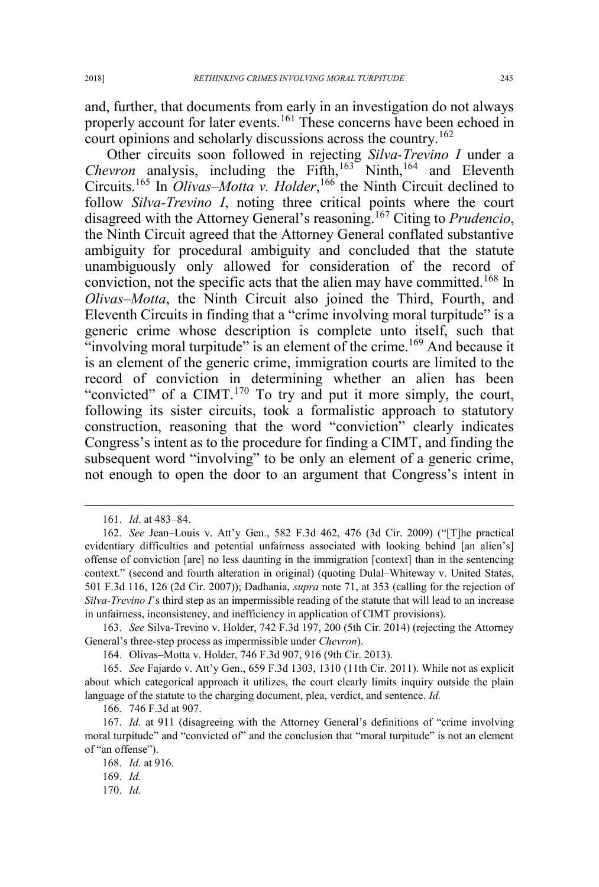and, further, that documents from early in an investigation do not always properly account for later events.<sup>161</sup> These concerns have been echoed in

court opinions and scholarly discussions across the country.<sup>162</sup> Other circuits soon followed in rejecting *Silva-Trevino I* under a *Chevron* analysis, including the Fifth,<sup>163</sup> Ninth,<sup>164</sup> and Eleventh Circuits.<sup>165</sup> In *Olivas–Motta v. Holder*, <sup>166</sup> the Ninth Circuit declined to follow *Silva-Trevino I*, noting three critical points where the court disagreed with the Attorney General's reasoning. <sup>167</sup> Citing to *Prudencio*, the Ninth Circuit agreed that the Attorney General conflated substantive ambiguity for procedural ambiguity and concluded that the statute unambiguously only allowed for consideration of the record of conviction, not the specific acts that the alien may have committed.<sup>168</sup> In *Olivas–Motta*, the Ninth Circuit also joined the Third, Fourth, and Eleventh Circuits in finding that a "crime involving moral turpitude" is a generic crime whose description is complete unto itself, such that "involving moral turpitude" is an element of the crime.<sup>169</sup> And because it is an element of the generic crime, immigration courts are limited to the record of conviction in determining whether an alien has been "convicted" of a CIMT.<sup>170</sup> To try and put it more simply, the court, following its sister circuits, took a formalistic approach to statutory construction, reasoning that the word "conviction" clearly indicates Congress's intent as to the procedure for finding a CIMT, and finding the subsequent word "involving" to be only an element of a generic crime, not enough to open the door to an argument that Congress's intent in

163. *See* Silva-Trevino v. Holder, 742 F.3d 197, 200 (5th Cir. 2014) (rejecting the Attorney General's three-step process as impermissible under *Chevron*).

164. Olivas–Motta v. Holder, 746 F.3d 907, 916 (9th Cir. 2013).

165. *See* Fajardo v. Att'y Gen., 659 F.3d 1303, 1310 (11th Cir. 2011). While not as explicit about which categorical approach it utilizes, the court clearly limits inquiry outside the plain language of the statute to the charging document, plea, verdict, and sentence. *Id.*

166. 746 F.3d at 907.

169. *Id.*

 <sup>161.</sup> *Id.* at 483–84.

<sup>162.</sup> *See* Jean–Louis v. Att'y Gen., 582 F.3d 462, 476 (3d Cir. 2009) ("[T]he practical evidentiary difficulties and potential unfairness associated with looking behind [an alien's] offense of conviction [are] no less daunting in the immigration [context] than in the sentencing context." (second and fourth alteration in original) (quoting Dulal–Whiteway v. United States, 501 F.3d 116, 126 (2d Cir. 2007)); Dadhania, *supra* note 71, at 353 (calling for the rejection of *Silva-Trevino I*'s third step as an impermissible reading of the statute that will lead to an increase in unfairness, inconsistency, and inefficiency in application of CIMT provisions).

<sup>167.</sup> *Id.* at 911 (disagreeing with the Attorney General's definitions of "crime involving moral turpitude" and "convicted of" and the conclusion that "moral turpitude" is not an element of "an offense").

<sup>168.</sup> *Id.* at 916.

<sup>170.</sup> *Id.*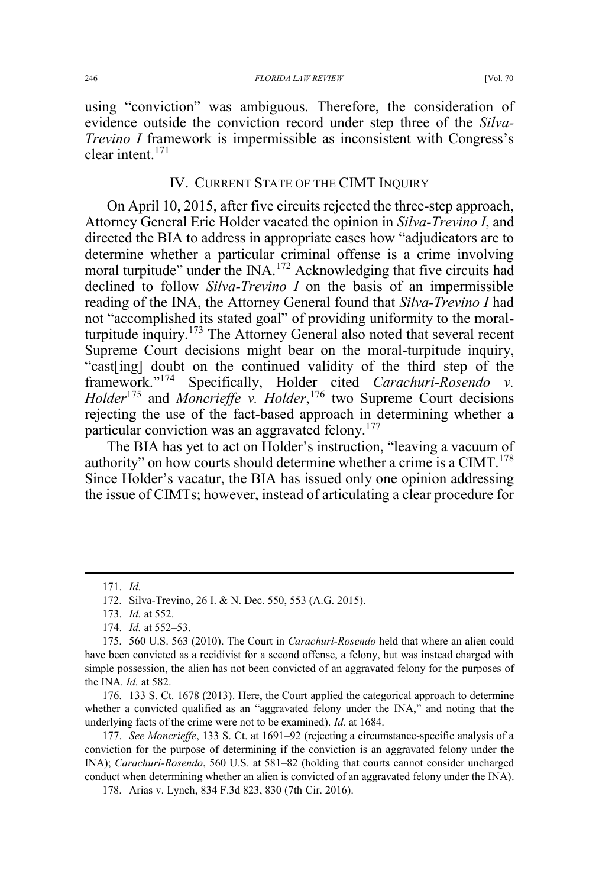using "conviction" was ambiguous. Therefore, the consideration of evidence outside the conviction record under step three of the *Silva-Trevino I* framework is impermissible as inconsistent with Congress's clear intent.<sup>171</sup>

### IV. CURRENT STATE OF THE CIMT INQUIRY

On April 10, 2015, after five circuits rejected the three-step approach, Attorney General Eric Holder vacated the opinion in *Silva-Trevino I*, and directed the BIA to address in appropriate cases how "adjudicators are to determine whether a particular criminal offense is a crime involving moral turpitude" under the INA.<sup>172</sup> Acknowledging that five circuits had declined to follow *Silva-Trevino I* on the basis of an impermissible reading of the INA, the Attorney General found that *Silva-Trevino I* had not "accomplished its stated goal" of providing uniformity to the moralturpitude inquiry.<sup>173</sup> The Attorney General also noted that several recent Supreme Court decisions might bear on the moral-turpitude inquiry, "cast[ing] doubt on the continued validity of the third step of the framework."<sup>174</sup> Specifically, Holder cited *Carachuri-Rosendo v. Holder*<sup>175</sup> and *Moncrieffe v. Holder*, <sup>176</sup> two Supreme Court decisions rejecting the use of the fact-based approach in determining whether a particular conviction was an aggravated felony.<sup>177</sup>

The BIA has yet to act on Holder's instruction, "leaving a vacuum of authority" on how courts should determine whether a crime is a  $CIMT$ <sup>178</sup> Since Holder's vacatur, the BIA has issued only one opinion addressing the issue of CIMTs; however, instead of articulating a clear procedure for

 <sup>171.</sup> *Id.*

<sup>172.</sup> Silva-Trevino, 26 I. & N. Dec. 550, 553 (A.G. 2015).

<sup>173.</sup> *Id.* at 552.

<sup>174.</sup> *Id.* at 552–53.

<sup>175. 560</sup> U.S. 563 (2010). The Court in *Carachuri-Rosendo* held that where an alien could have been convicted as a recidivist for a second offense, a felony, but was instead charged with simple possession, the alien has not been convicted of an aggravated felony for the purposes of the INA. *Id.* at 582.

<sup>176. 133</sup> S. Ct. 1678 (2013). Here, the Court applied the categorical approach to determine whether a convicted qualified as an "aggravated felony under the INA," and noting that the underlying facts of the crime were not to be examined). *Id.* at 1684.

<sup>177.</sup> *See Moncrieffe*, 133 S. Ct. at 1691–92 (rejecting a circumstance-specific analysis of a conviction for the purpose of determining if the conviction is an aggravated felony under the INA); *Carachuri-Rosendo*, 560 U.S. at 581–82 (holding that courts cannot consider uncharged conduct when determining whether an alien is convicted of an aggravated felony under the INA).

<sup>178.</sup> Arias v. Lynch, 834 F.3d 823, 830 (7th Cir. 2016).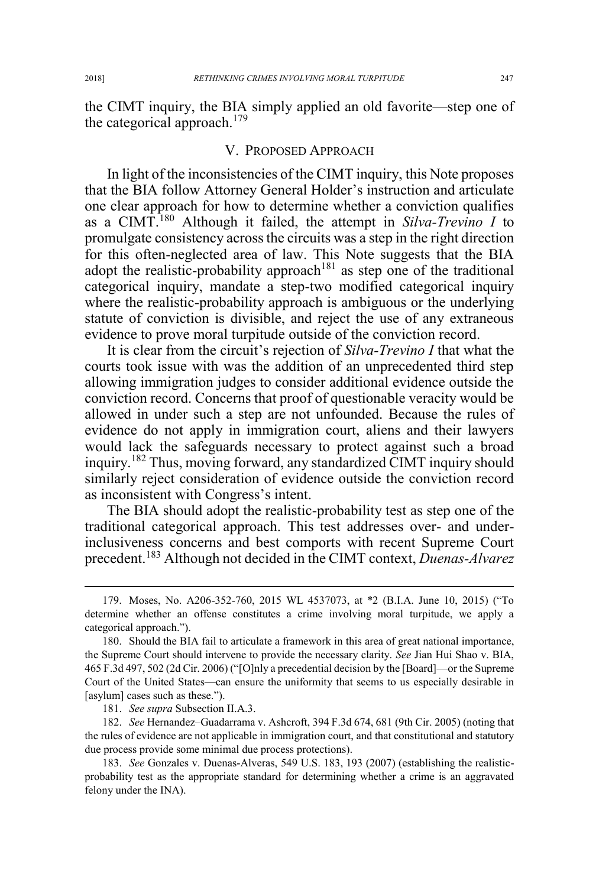the CIMT inquiry, the BIA simply applied an old favorite—step one of the categorical approach.<sup>179</sup>

## V. PROPOSED APPROACH

In light of the inconsistencies of the CIMT inquiry, this Note proposes that the BIA follow Attorney General Holder's instruction and articulate one clear approach for how to determine whether a conviction qualifies as a CIMT.<sup>180</sup> Although it failed, the attempt in *Silva-Trevino I* to promulgate consistency across the circuits was a step in the right direction for this often-neglected area of law. This Note suggests that the BIA adopt the realistic-probability approach<sup>181</sup> as step one of the traditional categorical inquiry, mandate a step-two modified categorical inquiry where the realistic-probability approach is ambiguous or the underlying statute of conviction is divisible, and reject the use of any extraneous evidence to prove moral turpitude outside of the conviction record.

It is clear from the circuit's rejection of *Silva-Trevino I* that what the courts took issue with was the addition of an unprecedented third step allowing immigration judges to consider additional evidence outside the conviction record. Concerns that proof of questionable veracity would be allowed in under such a step are not unfounded. Because the rules of evidence do not apply in immigration court, aliens and their lawyers would lack the safeguards necessary to protect against such a broad inquiry.<sup>182</sup> Thus, moving forward, any standardized CIMT inquiry should similarly reject consideration of evidence outside the conviction record as inconsistent with Congress's intent.

The BIA should adopt the realistic-probability test as step one of the traditional categorical approach. This test addresses over- and underinclusiveness concerns and best comports with recent Supreme Court precedent.<sup>183</sup> Although not decided in the CIMT context, *Duenas-Alvarez*

181. *See supra* Subsection II.A.3.

182. *See* Hernandez–Guadarrama v. Ashcroft, 394 F.3d 674, 681 (9th Cir. 2005) (noting that the rules of evidence are not applicable in immigration court, and that constitutional and statutory due process provide some minimal due process protections).

183. *See* Gonzales v. Duenas-Alveras, 549 U.S. 183, 193 (2007) (establishing the realisticprobability test as the appropriate standard for determining whether a crime is an aggravated felony under the INA).

 <sup>179.</sup> Moses, No. A206-352-760, 2015 WL 4537073, at \*2 (B.I.A. June 10, 2015) ("To determine whether an offense constitutes a crime involving moral turpitude, we apply a categorical approach.").

<sup>180.</sup> Should the BIA fail to articulate a framework in this area of great national importance, the Supreme Court should intervene to provide the necessary clarity. *See* Jian Hui Shao v. BIA, 465 F.3d 497, 502 (2d Cir. 2006) ("[O]nly a precedential decision by the [Board]—or the Supreme Court of the United States—can ensure the uniformity that seems to us especially desirable in [asylum] cases such as these.").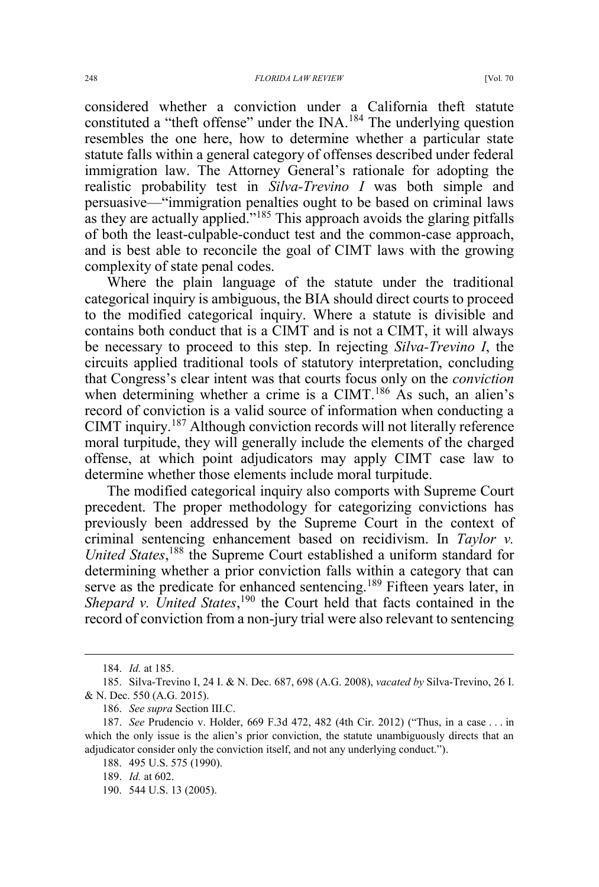considered whether a conviction under a California theft statute constituted a "theft offense" under the INA.<sup>184</sup> The underlying question resembles the one here, how to determine whether a particular state statute falls within a general category of offenses described under federal immigration law. The Attorney General's rationale for adopting the realistic probability test in *Silva-Trevino I* was both simple and persuasive—"immigration penalties ought to be based on criminal laws as they are actually applied."<sup>185</sup> This approach avoids the glaring pitfalls of both the least-culpable-conduct test and the common-case approach, and is best able to reconcile the goal of CIMT laws with the growing complexity of state penal codes.

Where the plain language of the statute under the traditional categorical inquiry is ambiguous, the BIA should direct courts to proceed to the modified categorical inquiry. Where a statute is divisible and contains both conduct that is a CIMT and is not a CIMT, it will always be necessary to proceed to this step. In rejecting *Silva-Trevino I*, the circuits applied traditional tools of statutory interpretation, concluding that Congress's clear intent was that courts focus only on the *conviction* when determining whether a crime is a CIMT.<sup>186</sup> As such, an alien's record of conviction is a valid source of information when conducting a CIMT inquiry.<sup>187</sup> Although conviction records will not literally reference moral turpitude, they will generally include the elements of the charged offense, at which point adjudicators may apply CIMT case law to determine whether those elements include moral turpitude.

The modified categorical inquiry also comports with Supreme Court precedent. The proper methodology for categorizing convictions has previously been addressed by the Supreme Court in the context of criminal sentencing enhancement based on recidivism. In *Taylor v.*  United States,<sup>188</sup> the Supreme Court established a uniform standard for determining whether a prior conviction falls within a category that can serve as the predicate for enhanced sentencing.<sup>189</sup> Fifteen years later, in Shepard v. United States,<sup>190</sup> the Court held that facts contained in the record of conviction from a non-jury trial were also relevant to sentencing

 <sup>184.</sup> *Id.* at 185.

<sup>185.</sup> Silva-Trevino I, 24 I. & N. Dec. 687, 698 (A.G. 2008), *vacated by* Silva-Trevino, 26 I. & N. Dec. 550 (A.G. 2015).

<sup>186.</sup> *See supra* Section III.C.

<sup>187.</sup> *See* Prudencio v. Holder, 669 F.3d 472, 482 (4th Cir. 2012) ("Thus, in a case . . . in which the only issue is the alien's prior conviction, the statute unambiguously directs that an adjudicator consider only the conviction itself, and not any underlying conduct.").

<sup>188. 495</sup> U.S. 575 (1990).

<sup>189.</sup> *Id.* at 602.

<sup>190. 544</sup> U.S. 13 (2005).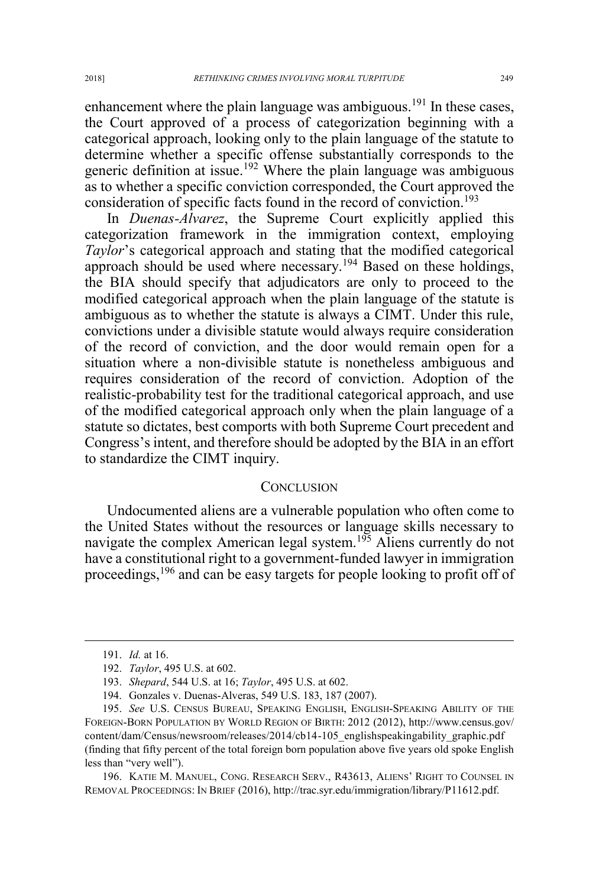enhancement where the plain language was ambiguous.<sup>191</sup> In these cases, the Court approved of a process of categorization beginning with a categorical approach, looking only to the plain language of the statute to determine whether a specific offense substantially corresponds to the generic definition at issue.<sup>192</sup> Where the plain language was ambiguous as to whether a specific conviction corresponded, the Court approved the consideration of specific facts found in the record of conviction.<sup>193</sup>

In *Duenas-Alvarez*, the Supreme Court explicitly applied this categorization framework in the immigration context, employing *Taylor*'s categorical approach and stating that the modified categorical approach should be used where necessary.<sup>194</sup> Based on these holdings, the BIA should specify that adjudicators are only to proceed to the modified categorical approach when the plain language of the statute is ambiguous as to whether the statute is always a CIMT. Under this rule, convictions under a divisible statute would always require consideration of the record of conviction, and the door would remain open for a situation where a non-divisible statute is nonetheless ambiguous and requires consideration of the record of conviction. Adoption of the realistic-probability test for the traditional categorical approach, and use of the modified categorical approach only when the plain language of a statute so dictates, best comports with both Supreme Court precedent and Congress's intent, and therefore should be adopted by the BIA in an effort to standardize the CIMT inquiry.

#### **CONCLUSION**

Undocumented aliens are a vulnerable population who often come to the United States without the resources or language skills necessary to navigate the complex American legal system.<sup>195</sup> Aliens currently do not have a constitutional right to a government-funded lawyer in immigration proceedings,<sup>196</sup> and can be easy targets for people looking to profit off of

196. KATIE M. MANUEL, CONG. RESEARCH SERV., R43613, ALIENS' RIGHT TO COUNSEL IN REMOVAL PROCEEDINGS: IN BRIEF (2016), http://trac.syr.edu/immigration/library/P11612.pdf.

 <sup>191.</sup> *Id.* at 16.

<sup>192.</sup> *Taylor*, 495 U.S. at 602.

<sup>193.</sup> *Shepard*, 544 U.S. at 16; *Taylor*, 495 U.S. at 602.

<sup>194.</sup> Gonzales v. Duenas-Alveras, 549 U.S. 183, 187 (2007).

<sup>195.</sup> *See* U.S. CENSUS BUREAU, SPEAKING ENGLISH, ENGLISH-SPEAKING ABILITY OF THE FOREIGN-BORN POPULATION BY WORLD REGION OF BIRTH: 2012 (2012), http://www.census.gov/ content/dam/Census/newsroom/releases/2014/cb14-105\_englishspeakingability\_graphic.pdf (finding that fifty percent of the total foreign born population above five years old spoke English less than "very well").